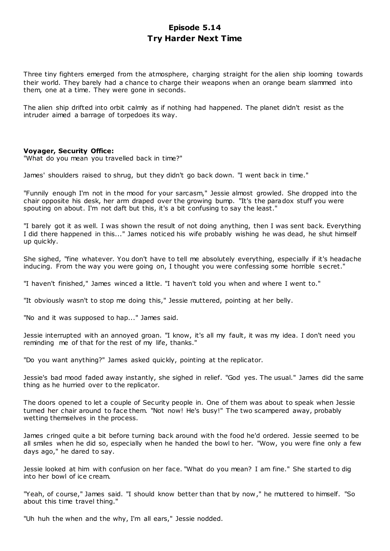# **Episode 5.14 Try Harder Next Time**

Three tiny fighters emerged from the atmosphere, charging straight for the alien ship looming towards their world. They barely had a chance to charge their weapons when an orange beam slammed into them, one at a time. They were gone in seconds.

The alien ship drifted into orbit calmly as if nothing had happened. The planet didn't resist as the intruder aimed a barrage of torpedoes its way.

## **Voyager, Security Office:**

"What do you mean you travelled back in time?"

James' shoulders raised to shrug, but they didn't go back down. "I went back in time."

"Funnily enough I'm not in the mood for your sarcasm," Jessie almost growled. She dropped into the chair opposite his desk, her arm draped over the growing bump. "It's the paradox stuff you were spouting on about. I'm not daft but this, it's a bit confusing to say the least."

"I barely got it as well. I was shown the result of not doing anything, then I was sent back. Everything I did there happened in this..." James noticed his wife probably wishing he was dead, he shut himself up quickly.

She sighed, "fine whatever. You don't have to tell me absolutely everything, especially if it's headache inducing. From the way you were going on, I thought you were confessing some horrible secret."

"I haven't finished," James winced a little. "I haven't told you when and where I went to."

"It obviously wasn't to stop me doing this," Jessie muttered, pointing at her belly.

"No and it was supposed to hap..." James said.

Jessie interrupted with an annoyed groan. "I know, it's all my fault, it was my idea. I don't need you reminding me of that for the rest of my life, thanks."

"Do you want anything?" James asked quickly, pointing at the replicator.

Jessie's bad mood faded away instantly, she sighed in relief. "God yes. The usual." James did the same thing as he hurried over to the replicator.

The doors opened to let a couple of Security people in. One of them was about to speak when Jessie turned her chair around to face them. "Not now! He's busy!" The two scampered away, probably wetting themselves in the process.

James cringed quite a bit before turning back around with the food he'd ordered. Jessie seemed to be all smiles when he did so, especially when he handed the bowl to her. "Wow, you were fine only a few days ago," he dared to say.

Jessie looked at him with confusion on her face. "What do you mean? I am fine." She started to dig into her bowl of ice cream.

"Yeah, of course," James said. "I should know better than that by now," he muttered to himself. "So about this time travel thing."

"Uh huh the when and the why, I'm all ears," Jessie nodded.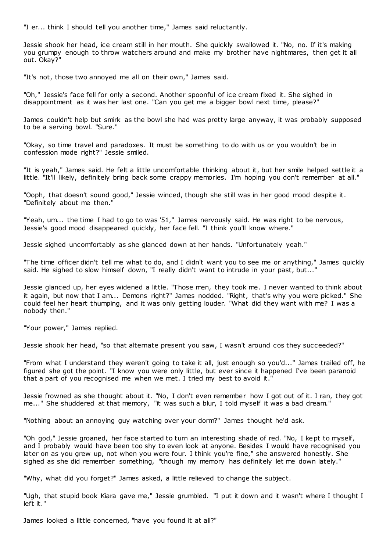"I er... think I should tell you another time," James said reluctantly.

Jessie shook her head, ice cream still in her mouth. She quickly swallowed it. "No, no. If it's making you grumpy enough to throw watchers around and make my brother have nightmares, then get it all out. Okay?"

"It's not, those two annoyed me all on their own," James said.

"Oh," Jessie's face fell for only a second. Another spoonful of ice cream fixed it. She sighed in disappointment as it was her last one. "Can you get me a bigger bowl next time, please?"

James couldn't help but smirk as the bowl she had was pretty large anyway, it was probably supposed to be a serving bowl. "Sure."

"Okay, so time travel and paradoxes. It must be something to do with us or you wouldn't be in confession mode right?" Jessie smiled.

"It is yeah," James said. He felt a little uncomfortable thinking about it, but her smile helped settle it a little. "It'll likely, definitely bring back some crappy memories. I'm hoping you don't remember at all."

"Ooph, that doesn't sound good," Jessie winced, though she still was in her good mood despite it. "Definitely about me then."

"Yeah, um... the time I had to go to was '51," James nervously said. He was right to be nervous, Jessie's good mood disappeared quickly, her face fell. "I think you'll know where."

Jessie sighed uncomfortably as she glanced down at her hands. "Unfortunately yeah."

"The time officer didn't tell me what to do, and I didn't want you to see me or anything," James quickly said. He sighed to slow himself down, "I really didn't want to intrude in your past, but..."

Jessie glanced up, her eyes widened a little. "Those men, they took me. I never wanted to think about it again, but now that I am... Demons right?" James nodded. "Right, that's why you were picked." She could feel her heart thumping, and it was only getting louder. "What did they want with me? I was a nobody then."

"Your power," James replied.

Jessie shook her head, "so that alternate present you saw, I wasn't around cos they succeeded?"

"From what I understand they weren't going to take it all, just enough so you'd..." James trailed off, he figured she got the point. "I know you were only little, but ever since it happened I've been paranoid that a part of you recognised me when we met. I tried my best to avoid it."

Jessie frowned as she thought about it. "No, I don't even remember how I got out of it. I ran, they got me..." She shuddered at that memory, "it was such a blur, I told myself it was a bad dream."

"Nothing about an annoying guy watching over your dorm?" James thought he'd ask.

"Oh god," Jessie groaned, her face started to turn an interesting shade of red. "No, I kept to myself, and I probably would have been too shy to even look at anyone. Besides I would have recognised you later on as you grew up, not when you were four. I think you're fine," she answered honestly. She sighed as she did remember something, "though my memory has definitely let me down lately."

"Why, what did you forget?" James asked, a little relieved to change the subject.

"Ugh, that stupid book Kiara gave me," Jessie grumbled. "I put it down and it wasn't where I thought I left it."

James looked a little concerned, "have you found it at all?"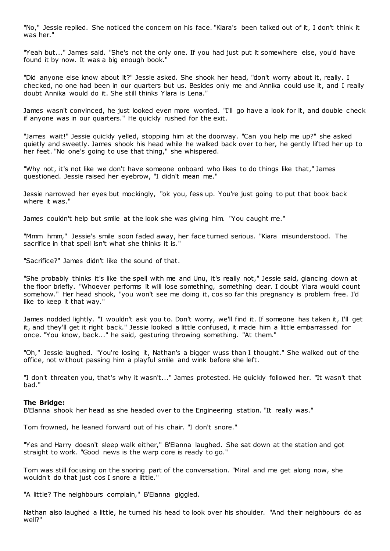"No," Jessie replied. She noticed the concern on his face. "Kiara's been talked out of it, I don't think it was her."

"Yeah but..." James said. "She's not the only one. If you had just put it somewhere else, you'd have found it by now. It was a big enough book."

"Did anyone else know about it?" Jessie asked. She shook her head, "don't worry about it, really. I checked, no one had been in our quarters but us. Besides only me and Annika could use it, and I really doubt Annika would do it. She still thinks Ylara is Lena."

James wasn't convinced, he just looked even more worried. "I'll go have a look for it, and double check if anyone was in our quarters." He quickly rushed for the exit.

"James wait!" Jessie quickly yelled, stopping him at the doorway. "Can you help me up?" she asked quietly and sweetly. James shook his head while he walked back over to her, he gently lifted her up to her feet. "No one's going to use that thing," she whispered.

"Why not, it's not like we don't have someone onboard who likes to do things like that," James questioned. Jessie raised her eyebrow, "I didn't mean me."

Jessie narrowed her eyes but mockingly, "ok you, fess up. You're just going to put that book back where it was."

James couldn't help but smile at the look she was giving him. "You caught me."

"Mmm hmm," Jessie's smile soon faded away, her face turned serious. "Kiara misunderstood. The sacrifice in that spell isn't what she thinks it is."

"Sacrifice?" James didn't like the sound of that.

"She probably thinks it's like the spell with me and Unu, it's really not," Jessie said, glancing down at the floor briefly. "Whoever performs it will lose something, something dear. I doubt Ylara would count somehow." Her head shook, "you won't see me doing it, cos so far this pregnancy is problem free. I'd like to keep it that way."

James nodded lightly. "I wouldn't ask you to. Don't worry, we'll find it. If someone has taken it, I'll get it, and they'll get it right back." Jessie looked a little confused, it made him a little embarrassed for once. "You know, back..." he said, gesturing throwing something. "At them."

"Oh," Jessie laughed. "You're losing it, Nathan's a bigger wuss than I thought." She walked out of the office, not without passing him a playful smile and wink before she left.

"I don't threaten you, that's why it wasn't..." James protested. He quickly followed her. "It wasn't that bad."

#### **The Bridge:**

B'Elanna shook her head as she headed over to the Engineering station. "It really was."

Tom frowned, he leaned forward out of his chair. "I don't snore."

"Yes and Harry doesn't sleep walk either," B'Elanna laughed. She sat down at the station and got straight to work. "Good news is the warp core is ready to go."

Tom was still focusing on the snoring part of the conversation. "Miral and me get along now, she wouldn't do that just cos I snore a little."

"A little? The neighbours complain," B'Elanna giggled.

Nathan also laughed a little, he turned his head to look over his shoulder. "And their neighbours do as well?"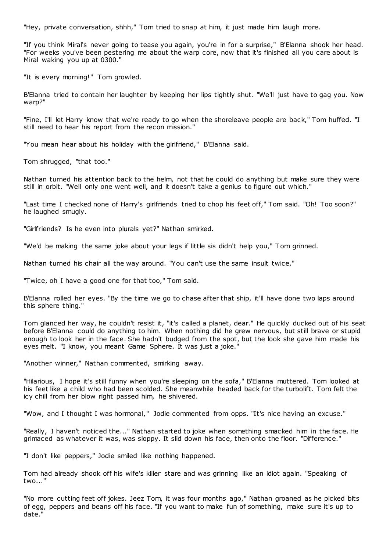"Hey, private conversation, shhh," Tom tried to snap at him, it just made him laugh more.

"If you think Miral's never going to tease you again, you're in for a surprise," B'Elanna shook her head. "For weeks you've been pestering me about the warp core, now that it's finished all you care about is Miral waking you up at 0300."

"It is every morning!" Tom growled.

B'Elanna tried to contain her laughter by keeping her lips tightly shut. "We'll just have to gag you. Now warp?"

"Fine, I'll let Harry know that we're ready to go when the shoreleave people are back," Tom huffed. "I still need to hear his report from the recon mission."

"You mean hear about his holiday with the girlfriend," B'Elanna said.

Tom shrugged, "that too."

Nathan turned his attention back to the helm, not that he could do anything but make sure they were still in orbit. "Well only one went well, and it doesn't take a genius to figure out which."

"Last time I checked none of Harry's girlfriends tried to chop his feet off," Tom said. "Oh! Too soon?" he laughed smugly.

"Girlfriends? Is he even into plurals yet?" Nathan smirked.

"We'd be making the same joke about your legs if little sis didn't help you," Tom grinned.

Nathan turned his chair all the way around. "You can't use the same insult twice."

"Twice, oh I have a good one for that too," Tom said.

B'Elanna rolled her eyes. "By the time we go to chase after that ship, it'll have done two laps around this sphere thing."

Tom glanced her way, he couldn't resist it, "it's called a planet, dear." He quickly ducked out of his seat before B'Elanna could do anything to him. When nothing did he grew nervous, but still brave or stupid enough to look her in the face. She hadn't budged from the spot, but the look she gave him made his eyes melt. "I know, you meant Game Sphere. It was just a joke."

"Another winner," Nathan commented, smirking away.

"Hilarious, I hope it's still funny when you're sleeping on the sofa," B'Elanna muttered. Tom looked at his feet like a child who had been scolded. She meanwhile headed back for the turbolift. Tom felt the icy chill from her blow right passed him, he shivered.

"Wow, and I thought I was hormonal," Jodie commented from opps. "It's nice having an excuse."

"Really, I haven't noticed the..." Nathan started to joke when something smacked him in the face. He grimaced as whatever it was, was sloppy. It slid down his face, then onto the floor. "Difference."

"I don't like peppers," Jodie smiled like nothing happened.

Tom had already shook off his wife's killer stare and was grinning like an idiot again. "Speaking of two..."

"No more cutting feet off jokes. Jeez Tom, it was four months ago," Nathan groaned as he picked bits of egg, peppers and beans off his face. "If you want to make fun of something, make sure it's up to date."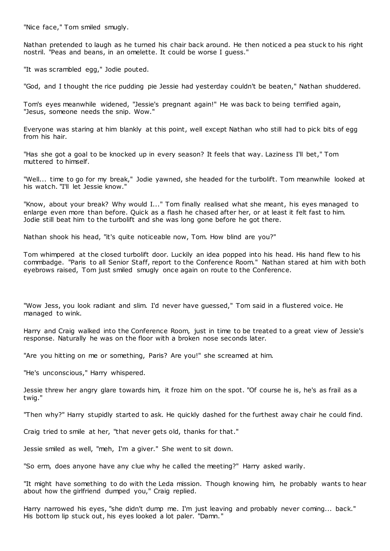"Nice face," Tom smiled smugly.

Nathan pretended to laugh as he turned his chair back around. He then noticed a pea stuck to his right nostril. "Peas and beans, in an omelette. It could be worse I guess."

"It was scrambled egg," Jodie pouted.

"God, and I thought the rice pudding pie Jessie had yesterday couldn't be beaten," Nathan shuddered.

Tom's eyes meanwhile widened, "Jessie's pregnant again!" He was back to being terrified again, "Jesus, someone needs the snip. Wow."

Everyone was staring at him blankly at this point, well except Nathan who still had to pick bits of egg from his hair.

"Has she got a goal to be knocked up in every season? It feels that way. Laziness I'll bet," Tom muttered to himself.

"Well... time to go for my break," Jodie yawned, she headed for the turbolift. Tom meanwhile looked at his watch. "I'll let Jessie know."

"Know, about your break? Why would I..." Tom finally realised what she meant, his eyes managed to enlarge even more than before. Quick as a flash he chased after her, or at least it felt fast to him. Jodie still beat him to the turbolift and she was long gone before he got there.

Nathan shook his head, "it's quite noticeable now, Tom. How blind are you?"

Tom whimpered at the closed turbolift door. Luckily an idea popped into his head. His hand flew to his commbadge. "Paris to all Senior Staff, report to the Conference Room." Nathan stared at him with both eyebrows raised, Tom just smiled smugly once again on route to the Conference.

"Wow Jess, you look radiant and slim. I'd never have guessed," Tom said in a flustered voice. He managed to wink.

Harry and Craig walked into the Conference Room, just in time to be treated to a great view of Jessie's response. Naturally he was on the floor with a broken nose seconds later.

"Are you hitting on me or something, Paris? Are you!" she screamed at him.

"He's unconscious," Harry whispered.

Jessie threw her angry glare towards him, it froze him on the spot. "Of course he is, he's as frail as a twig."

"Then why?" Harry stupidly started to ask. He quickly dashed for the furthest away chair he could find.

Craig tried to smile at her, "that never gets old, thanks for that."

Jessie smiled as well, "meh, I'm a giver." She went to sit down.

"So erm, does anyone have any clue why he called the meeting?" Harry asked warily.

"It might have something to do with the Leda mission. Though knowing him, he probably wants to hear about how the girlfriend dumped you," Craig replied.

Harry narrowed his eyes, "she didn't dump me. I'm just leaving and probably never coming... back." His bottom lip stuck out, his eyes looked a lot paler. "Damn."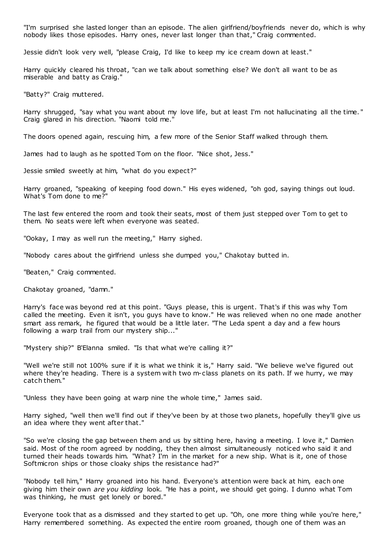"I'm surprised she lasted longer than an episode. The alien girlfriend/boyfriends never do, which is why nobody likes those episodes. Harry ones, never last longer than that," Craig commented.

Jessie didn't look very well, "please Craig, I'd like to keep my ice cream down at least."

Harry quickly cleared his throat, "can we talk about something else? We don't all want to be as miserable and batty as Craig."

"Batty?" Craig muttered.

Harry shrugged, "say what you want about my love life, but at least I'm not hallucinating all the time." Craig glared in his direction. "Naomi told me."

The doors opened again, rescuing him, a few more of the Senior Staff walked through them.

James had to laugh as he spotted Tom on the floor. "Nice shot, Jess."

Jessie smiled sweetly at him, "what do you expect?"

Harry groaned, "speaking of keeping food down." His eyes widened, "oh god, saying things out loud. What's Tom done to me?"

The last few entered the room and took their seats, most of them just stepped over Tom to get to them. No seats were left when everyone was seated.

"Ookay, I may as well run the meeting," Harry sighed.

"Nobody cares about the girlfriend unless she dumped you," Chakotay butted in.

"Beaten," Craig commented.

Chakotay groaned, "damn."

Harry's face was beyond red at this point. "Guys please, this is urgent. That's if this was why Tom called the meeting. Even it isn't, you guys have to know." He was relieved when no one made another smart ass remark, he figured that would be a little later. "The Leda spent a day and a few hours following a warp trail from our mystery ship..."

"Mystery ship?" B'Elanna smiled. "Is that what we're calling it?"

"Well we're still not 100% sure if it is what we think it is," Harry said. "We believe we've figured out where they're heading. There is a system with two m-class planets on its path. If we hurry, we may catch them."

"Unless they have been going at warp nine the whole time," James said.

Harry sighed, "well then we'll find out if they've been by at those two planets, hopefully they'll give us an idea where they went after that."

"So we're closing the gap between them and us by sitting here, having a meeting. I love it," Damien said. Most of the room agreed by nodding, they then almost simultaneously noticed who said it and turned their heads towards him. "What? I'm in the market for a new ship. What is it, one of those Softmicron ships or those cloaky ships the resistance had?"

"Nobody tell him," Harry groaned into his hand. Everyone's attention were back at him, each one giving him their own *are you kidding* look. "He has a point, we should get going. I dunno what Tom was thinking, he must get lonely or bored."

Everyone took that as a dismissed and they started to get up. "Oh, one more thing while you're here," Harry remembered something. As expected the entire room groaned, though one of them was an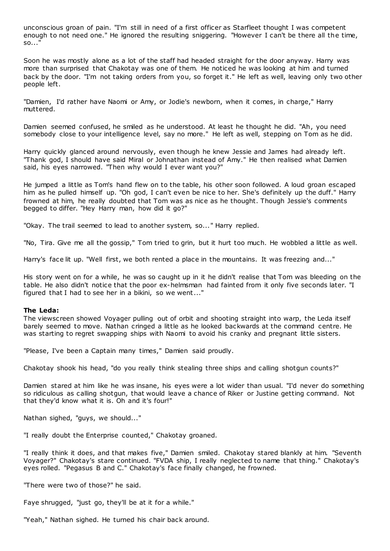unconscious groan of pain. "I'm still in need of a first officer as Starfleet thought I was competent enough to not need one." He ignored the resulting sniggering. "However I can't be there all the time, so..."

Soon he was mostly alone as a lot of the staff had headed straight for the door anyway. Harry was more than surprised that Chakotay was one of them. He noticed he was looking at him and turned back by the door. "I'm not taking orders from you, so forget it." He left as well, leaving only two other people left.

"Damien, I'd rather have Naomi or Amy, or Jodie's newborn, when it comes, in charge," Harry muttered.

Damien seemed confused, he smiled as he understood. At least he thought he did. "Ah, you need somebody close to your intelligence level, say no more." He left as well, stepping on Tom as he did.

Harry quickly glanced around nervously, even though he knew Jessie and James had already left. "Thank god, I should have said Miral or Johnathan instead of Amy." He then realised what Damien said, his eyes narrowed. "Then why would I ever want you?"

He jumped a little as Tom's hand flew on to the table, his other soon followed. A loud groan escaped him as he pulled himself up. "Oh god, I can't even be nice to her. She's definitely up the duff." Harry frowned at him, he really doubted that Tom was as nice as he thought. Though Jessie's comments begged to differ. "Hey Harry man, how did it go?"

"Okay. The trail seemed to lead to another system, so..." Harry replied.

"No, Tira. Give me all the gossip," Tom tried to grin, but it hurt too much. He wobbled a little as well.

Harry's face lit up. "Well first, we both rented a place in the mountains. It was freezing and..."

His story went on for a while, he was so caught up in it he didn't realise that Tom was bleeding on the table. He also didn't notice that the poor ex-helmsman had fainted from it only five seconds later. "I figured that I had to see her in a bikini, so we went..."

#### **The Leda:**

The viewscreen showed Voyager pulling out of orbit and shooting straight into warp, the Leda itself barely seemed to move. Nathan cringed a little as he looked backwards at the command centre. He was starting to regret swapping ships with Naomi to avoid his cranky and pregnant little sisters.

"Please, I've been a Captain many times," Damien said proudly.

Chakotay shook his head, "do you really think stealing three ships and calling shotgun counts?"

Damien stared at him like he was insane, his eyes were a lot wider than usual. "I'd never do something so ridiculous as calling shotgun, that would leave a chance of Riker or Justine getting command. Not that they'd know what it is. Oh and it's four!"

Nathan sighed, "guys, we should..."

"I really doubt the Enterprise counted," Chakotay groaned.

"I really think it does, and that makes five," Damien smiled. Chakotay stared blankly at him. "Seventh Voyager?" Chakotay's stare continued. "FVDA ship, I really neglected to name that thing." Chakotay's eyes rolled. "Pegasus B and C." Chakotay's face finally changed, he frowned.

"There were two of those?" he said.

Faye shrugged, "just go, they'll be at it for a while."

"Yeah," Nathan sighed. He turned his chair back around.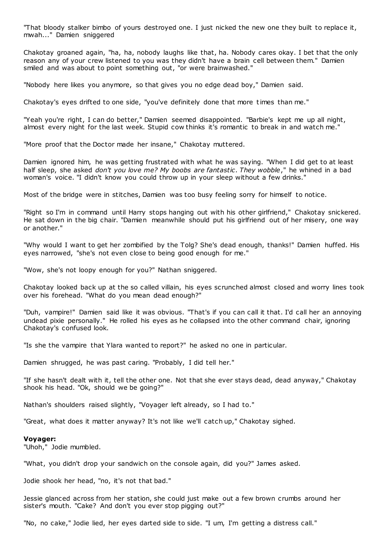"That bloody stalker bimbo of yours destroyed one. I just nicked the new one they built to replace it, mwah..." Damien sniggered

Chakotay groaned again, "ha, ha, nobody laughs like that, ha. Nobody cares okay. I bet that the only reason any of your crew listened to you was they didn't have a brain cell between them." Damien smiled and was about to point something out, "or were brainwashed."

"Nobody here likes you anymore, so that gives you no edge dead boy," Damien said.

Chakotay's eyes drifted to one side, "you've definitely done that more times than me."

"Yeah you're right, I can do better," Damien seemed disappointed. "Barbie's kept me up all night, almost every night for the last week. Stupid cow thinks it's romantic to break in and watch me."

"More proof that the Doctor made her insane," Chakotay muttered.

Damien ignored him, he was getting frustrated with what he was saying. "When I did get to at least half sleep, she asked *don't you love me? My boobs are fantastic . They wobble*," he whined in a bad woman's voice. "I didn't know you could throw up in your sleep without a few drinks."

Most of the bridge were in stitches, Damien was too busy feeling sorry for himself to notice.

"Right so I'm in command until Harry stops hanging out with his other girlfriend," Chakotay snickered. He sat down in the big chair. "Damien meanwhile should put his girlfriend out of her misery, one way or another."

"Why would I want to get her zombified by the Tolg? She's dead enough, thanks!" Damien huffed. His eyes narrowed, "she's not even close to being good enough for me."

"Wow, she's not loopy enough for you?" Nathan sniggered.

Chakotay looked back up at the so called villain, his eyes scrunched almost closed and worry lines took over his forehead. "What do you mean dead enough?"

"Duh, vampire!" Damien said like it was obvious. "That's if you can call it that. I'd call her an annoying undead pixie personally." He rolled his eyes as he collapsed into the other command chair, ignoring Chakotay's confused look.

"Is she the vampire that Ylara wanted to report?" he asked no one in particular.

Damien shrugged, he was past caring. "Probably, I did tell her."

"If she hasn't dealt with it, tell the other one. Not that she ever stays dead, dead anyway," Chakotay shook his head. "Ok, should we be going?"

Nathan's shoulders raised slightly, "Voyager left already, so I had to."

"Great, what does it matter anyway? It's not like we'll catch up," Chakotay sighed.

#### **Voyager:**

"Uhoh," Jodie mumbled.

"What, you didn't drop your sandwich on the console again, did you?" James asked.

Jodie shook her head, "no, it's not that bad."

Jessie glanced across from her station, she could just make out a few brown crumbs around her sister's mouth. "Cake? And don't you ever stop pigging out?"

"No, no cake," Jodie lied, her eyes darted side to side. "I um, I'm getting a distress call."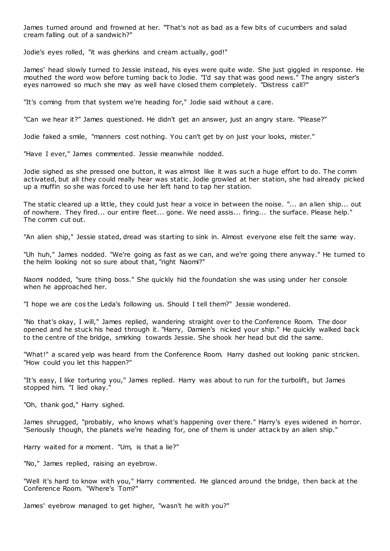James turned around and frowned at her. "That's not as bad as a few bits of cucumbers and salad cream falling out of a sandwich?"

Jodie's eyes rolled, "it was gherkins and cream actually, god!"

James' head slowly turned to Jessie instead, his eyes were quite wide. She just giggled in response. He mouthed the word wow before turning back to Jodie. "I'd say that was good news." The angry sister's eyes narrowed so much she may as well have closed them completely. "Distress call?"

"It's coming from that system we're heading for," Jodie said without a care.

"Can we hear it?" James questioned. He didn't get an answer, just an angry stare. "Please?"

Jodie faked a smile, "manners cost nothing. You can't get by on just your looks, mister."

"Have I ever," James commented. Jessie meanwhile nodded.

Jodie sighed as she pressed one button, it was almost like it was such a huge effort to do. The comm activated, but all they could really hear was static . Jodie growled at her station, she had already picked up a muffin so she was forced to use her left hand to tap her station.

The static cleared up a little, they could just hear a voice in between the noise. "... an alien ship... out of nowhere. They fired... our entire fleet... gone. We need assis... firing... the surface. Please help." The comm cut out.

"An alien ship," Jessie stated, dread was starting to sink in. Almost everyone else felt the same way.

"Uh huh," James nodded. "We're going as fast as we can, and we're going there anyway." He turned to the helm looking not so sure about that, "right Naomi?"

Naomi nodded, "sure thing boss." She quickly hid the foundation she was using under her console when he approached her.

"I hope we are cos the Leda's following us. Should I tell them?" Jessie wondered.

"No that's okay, I will," James replied, wandering straight over to the Conference Room. The door opened and he stuck his head through it. "Harry, Damien's nicked your ship." He quickly walked back to the centre of the bridge, smirking towards Jessie. She shook her head but did the same.

"What!" a scared yelp was heard from the Conference Room. Harry dashed out looking panic stricken. "How could you let this happen?"

"It's easy, I like torturing you," James replied. Harry was about to run for the turbolift, but James stopped him. "I lied okay."

"Oh, thank god," Harry sighed.

James shrugged, "probably, who knows what's happening over there." Harry's eyes widened in horror. "Seriously though, the planets we're heading for, one of them is under attack by an alien ship."

Harry waited for a moment. "Um, is that a lie?"

"No," James replied, raising an eyebrow.

"Well it's hard to know with you," Harry commented. He glanced around the bridge, then back at the Conference Room. "Where's Tom?"

James' eyebrow managed to get higher, "wasn't he with you?"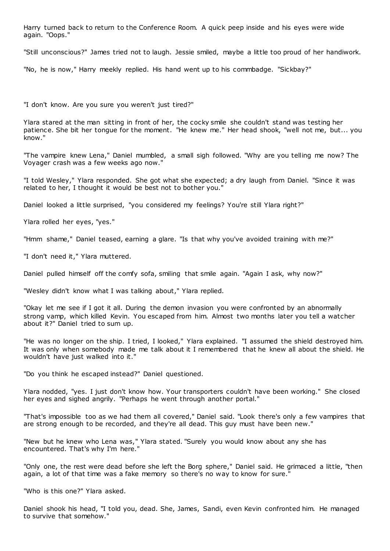Harry turned back to return to the Conference Room. A quick peep inside and his eyes were wide again. "Oops."

"Still unconscious?" James tried not to laugh. Jessie smiled, maybe a little too proud of her handiwork.

"No, he is now," Harry meekly replied. His hand went up to his commbadge. "Sickbay?"

"I don't know. Are you sure you weren't just tired?"

Ylara stared at the man sitting in front of her, the cocky smile she couldn't stand was testing her patience. She bit her tongue for the moment. "He knew me." Her head shook, "well not me, but... you know."

"The vampire knew Lena," Daniel mumbled, a small sigh followed. "Why are you telling me now? The Voyager crash was a few weeks ago now."

"I told Wesley," Ylara responded. She got what she expected; a dry laugh from Daniel. "Since it was related to her, I thought it would be best not to bother you."

Daniel looked a little surprised, "you considered my feelings? You're still Ylara right?"

Ylara rolled her eyes, "yes."

"Hmm shame," Daniel teased, earning a glare. "Is that why you've avoided training with me?"

"I don't need it," Ylara muttered.

Daniel pulled himself off the comfy sofa, smiling that smile again. "Again I ask, why now?"

"Wesley didn't know what I was talking about," Ylara replied.

"Okay let me see if I got it all. During the demon invasion you were confronted by an abnormally strong vamp, which killed Kevin. You escaped from him. Almost two months later you tell a watcher about it?" Daniel tried to sum up.

"He was no longer on the ship. I tried, I looked," Ylara explained. "I assumed the shield destroyed him. It was only when somebody made me talk about it I remembered that he knew all about the shield. He wouldn't have just walked into it."

"Do you think he escaped instead?" Daniel questioned.

Ylara nodded, "yes. I just don't know how. Your transporters couldn't have been working." She closed her eyes and sighed angrily. "Perhaps he went through another portal."

"That's impossible too as we had them all covered," Daniel said. "Look there's only a few vampires that are strong enough to be recorded, and they're all dead. This guy must have been new."

"New but he knew who Lena was," Ylara stated. "Surely you would know about any she has encountered. That's why I'm here."

"Only one, the rest were dead before she left the Borg sphere," Daniel said. He grimaced a little, "then again, a lot of that time was a fake memory so there's no way to know for sure."

"Who is this one?" Ylara asked.

Daniel shook his head, "I told you, dead. She, James, Sandi, even Kevin confronted him. He managed to survive that somehow."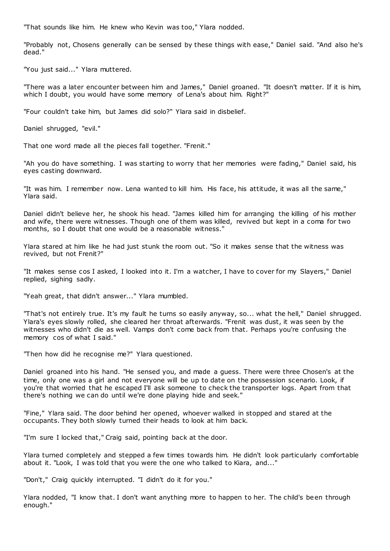"That sounds like him. He knew who Kevin was too," Ylara nodded.

"Probably not, Chosens generally can be sensed by these things with ease," Daniel said. "And also he's dead."

"You just said..." Ylara muttered.

"There was a later encounter between him and James," Daniel groaned. "It doesn't matter. If it is him, which I doubt, you would have some memory of Lena's about him. Right?"

"Four couldn't take him, but James did solo?" Ylara said in disbelief.

Daniel shrugged, "evil."

That one word made all the pieces fall together. "Frenit."

"Ah you do have something. I was starting to worry that her memories were fading," Daniel said, his eyes casting downward.

"It was him. I remember now. Lena wanted to kill him. His face, his attitude, it was all the same," Ylara said.

Daniel didn't believe her, he shook his head. "James killed him for arranging the killing of his mother and wife, there were witnesses. Though one of them was killed, revived but kept in a coma for two months, so I doubt that one would be a reasonable witness."

Ylara stared at him like he had just stunk the room out. "So it makes sense that the witness was revived, but not Frenit?"

"It makes sense cos I asked, I looked into it. I'm a watcher, I have to cover for my Slayers," Daniel replied, sighing sadly.

"Yeah great, that didn't answer..." Ylara mumbled.

"That's not entirely true. It's my fault he turns so easily anyway, so... what the hell," Daniel shrugged. Ylara's eyes slowly rolled, she cleared her throat afterwards. "Frenit was dust, it was seen by the witnesses who didn't die as well. Vamps don't come back from that. Perhaps you're confusing the memory cos of what I said."

"Then how did he recognise me?" Ylara questioned.

Daniel groaned into his hand. "He sensed you, and made a guess. There were three Chosen's at the time, only one was a girl and not everyone will be up to date on the possession scenario. Look, if you're that worried that he escaped I'll ask someone to check the transporter logs. Apart from that there's nothing we can do until we're done playing hide and seek."

"Fine," Ylara said. The door behind her opened, whoever walked in stopped and stared at the occupants. They both slowly turned their heads to look at him back.

"I'm sure I locked that," Craig said, pointing back at the door.

Ylara turned completely and stepped a few times towards him. He didn't look particularly comfortable about it. "Look, I was told that you were the one who talked to Kiara, and..."

"Don't," Craig quickly interrupted. "I didn't do it for you."

Ylara nodded, "I know that. I don't want anything more to happen to her. The child's been through enough."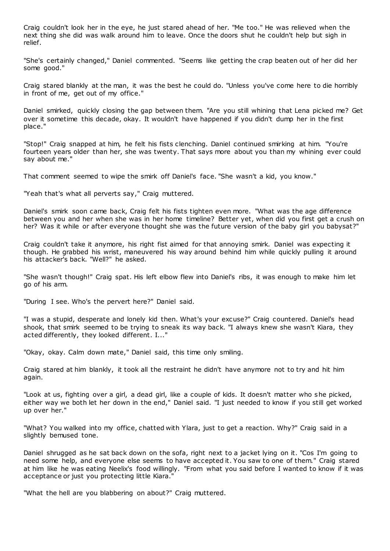Craig couldn't look her in the eye, he just stared ahead of her. "Me too." He was relieved when the next thing she did was walk around him to leave. Once the doors shut he couldn't help but sigh in relief.

"She's certainly changed," Daniel commented. "Seems like getting the crap beaten out of her did her some good."

Craig stared blankly at the man, it was the best he could do. "Unless you've come here to die horribly in front of me, get out of my office."

Daniel smirked, quickly closing the gap between them. "Are you still whining that Lena picked me? Get over it sometime this decade, okay. It wouldn't have happened if you didn't dump her in the first place."

"Stop!" Craig snapped at him, he felt his fists clenching. Daniel continued smirking at him. "You're fourteen years older than her, she was twenty. That says more about you than my whining ever could say about me."

That comment seemed to wipe the smirk off Daniel's face. "She wasn't a kid, you know."

"Yeah that's what all perverts say," Craig muttered.

Daniel's smirk soon came back, Craig felt his fists tighten even more. "What was the age difference between you and her when she was in her home timeline? Better yet, when did you first get a crush on her? Was it while or after everyone thought she was the future version of the baby girl you babysat?"

Craig couldn't take it anymore, his right fist aimed for that annoying smirk. Daniel was expecting it though. He grabbed his wrist, maneuvered his way around behind him while quickly pulling it around his attacker's back. "Well?" he asked.

"She wasn't though!" Craig spat. His left elbow flew into Daniel's ribs, it was enough to make him let go of his arm.

"During I see. Who's the pervert here?" Daniel said.

"I was a stupid, desperate and lonely kid then. What's your excuse?" Craig countered. Daniel's head shook, that smirk seemed to be trying to sneak its way back. "I always knew she wasn't Kiara, they acted differently, they looked different. I..."

"Okay, okay. Calm down mate," Daniel said, this time only smiling.

Craig stared at him blankly, it took all the restraint he didn't have anymore not to try and hit him again.

"Look at us, fighting over a girl, a dead girl, like a couple of kids. It doesn't matter who she picked, either way we both let her down in the end," Daniel said. "I just needed to know if you still get worked up over her."

"What? You walked into my office, chatted with Ylara, just to get a reaction. Why?" Craig said in a slightly bemused tone.

Daniel shrugged as he sat back down on the sofa, right next to a jacket lying on it. "Cos I'm going to need some help, and everyone else seems to have accepted it. You saw to one of them." Craig stared at him like he was eating Neelix's food willingly. "From what you said before I wanted to know if it was acceptance or just you protecting little Kiara."

"What the hell are you blabbering on about?" Craig muttered.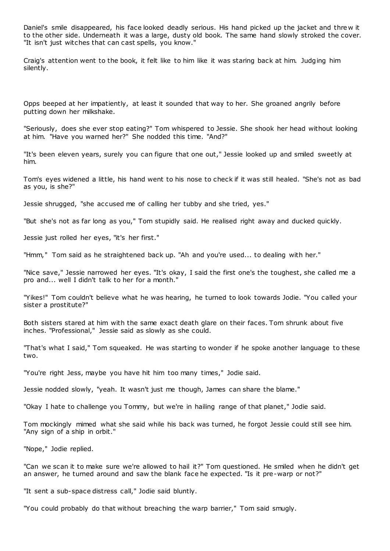Daniel's smile disappeared, his face looked deadly serious. His hand picked up the jacket and thre w it to the other side. Underneath it was a large, dusty old book. The same hand slowly stroked the cover. "It isn't just witches that can cast spells, you know."

Craig's attention went to the book, it felt like to him like it was staring back at him. Judging him silently.

Opps beeped at her impatiently, at least it sounded that way to her. She groaned angrily before putting down her milkshake.

"Seriously, does she ever stop eating?" Tom whispered to Jessie. She shook her head without looking at him. "Have you warned her?" She nodded this time. "And?"

"It's been eleven years, surely you can figure that one out," Jessie looked up and smiled sweetly at him.

Tom's eyes widened a little, his hand went to his nose to check if it was still healed. "She's not as bad as you, is she?"

Jessie shrugged, "she accused me of calling her tubby and she tried, yes."

"But she's not as far long as you," Tom stupidly said. He realised right away and ducked quickly.

Jessie just rolled her eyes, "it's her first."

"Hmm," Tom said as he straightened back up. "Ah and you're used... to dealing with her."

"Nice save," Jessie narrowed her eyes. "It's okay, I said the first one's the toughest, she called me a pro and... well I didn't talk to her for a month."

"Yikes!" Tom couldn't believe what he was hearing, he turned to look towards Jodie. "You called your sister a prostitute?"

Both sisters stared at him with the same exact death glare on their faces. Tom shrunk about five inches. "Professional," Jessie said as slowly as she could.

"That's what I said," Tom squeaked. He was starting to wonder if he spoke another language to these two.

"You're right Jess, maybe you have hit him too many times," Jodie said.

Jessie nodded slowly, "yeah. It wasn't just me though, James can share the blame."

"Okay I hate to challenge you Tommy, but we're in hailing range of that planet," Jodie said.

Tom mockingly mimed what she said while his back was turned, he forgot Jessie could still see him. "Any sign of a ship in orbit."

"Nope," Jodie replied.

"Can we scan it to make sure we're allowed to hail it?" Tom questioned. He smiled when he didn't get an answer, he turned around and saw the blank face he expected. "Is it pre-warp or not?"

"It sent a sub-space distress call," Jodie said bluntly.

"You could probably do that without breaching the warp barrier," Tom said smugly.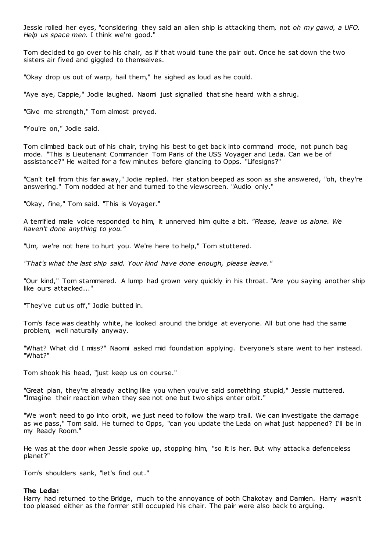Jessie rolled her eyes, "considering they said an alien ship is attacking them, not *oh my gawd, a UFO. Help us space men.* I think we're good."

Tom decided to go over to his chair, as if that would tune the pair out. Once he sat down the two sisters air fived and giggled to themselves.

"Okay drop us out of warp, hail them," he sighed as loud as he could.

"Aye aye, Cappie," Jodie laughed. Naomi just signalled that she heard with a shrug.

"Give me strength," Tom almost preyed.

"You're on," Jodie said.

Tom climbed back out of his chair, trying his best to get back into command mode, not punch bag mode. "This is Lieutenant Commander Tom Paris of the USS Voyager and Leda. Can we be of assistance?" He waited for a few minutes before glancing to Opps. "Lifesigns?"

"Can't tell from this far away," Jodie replied. Her station beeped as soon as she answered, "oh, they're answering." Tom nodded at her and turned to the viewscreen. "Audio only."

"Okay, fine," Tom said. "This is Voyager."

A terrified male voice responded to him, it unnerved him quite a bit. *"Please, leave us alone. We haven't done anything to you."*

"Um, we're not here to hurt you. We're here to help," Tom stuttered.

*"That's what the last ship said. Your kind have done enough, please leave."*

"Our kind," Tom stammered. A lump had grown very quickly in his throat. "Are you saying another ship like ours attacked..."

"They've cut us off," Jodie butted in.

Tom's face was deathly white, he looked around the bridge at everyone. All but one had the same problem, well naturally anyway.

"What? What did I miss?" Naomi asked mid foundation applying. Everyone's stare went to her instead. "What?"

Tom shook his head, "just keep us on course."

"Great plan, they're already acting like you when you've said something stupid," Jessie muttered. "Imagine their reaction when they see not one but two ships enter orbit."

"We won't need to go into orbit, we just need to follow the warp trail. We can investigate the damage as we pass," Tom said. He turned to Opps, "can you update the Leda on what just happened? I'll be in my Ready Room."

He was at the door when Jessie spoke up, stopping him, "so it is her. But why attack a defenceless planet?"

Tom's shoulders sank, "let's find out."

#### **The Leda:**

Harry had returned to the Bridge, much to the annoyance of both Chakotay and Damien. Harry wasn't too pleased either as the former still occupied his chair. The pair were also back to arguing.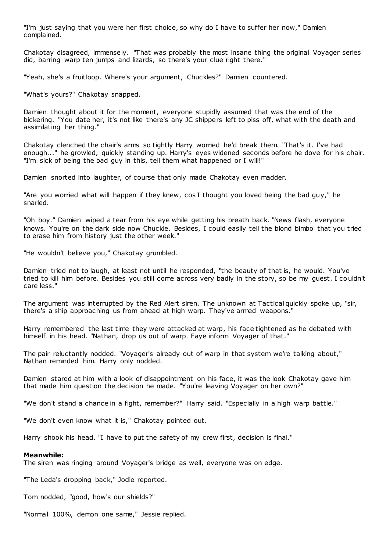"I'm just saying that you were her first choice, so why do I have to suffer her now," Damien complained.

Chakotay disagreed, immensely. "That was probably the most insane thing the original Voyager series did, barring warp ten jumps and lizards, so there's your clue right there."

"Yeah, she's a fruitloop. Where's your argument, Chuckles?" Damien countered.

"What's yours?" Chakotay snapped.

Damien thought about it for the moment, everyone stupidly assumed that was the end of the bickering. "You date her, it's not like there's any JC shippers left to piss off, what with the death and assimilating her thing."

Chakotay clenched the chair's arms so tightly Harry worried he'd break them. "That's it. I've had enough..." he growled, quickly standing up. Harry's eyes widened seconds before he dove for his chair. "I'm sick of being the bad guy in this, tell them what happened or I will!"

Damien snorted into laughter, of course that only made Chakotay even madder.

"Are you worried what will happen if they knew, cos I thought you loved being the bad guy," he snarled.

"Oh boy." Damien wiped a tear from his eye while getting his breath back. "News flash, everyone knows. You're on the dark side now Chuckie. Besides, I could easily tell the blond bimbo that you tried to erase him from history just the other week."

"He wouldn't believe you," Chakotay grumbled.

Damien tried not to laugh, at least not until he responded, "the beauty of that is, he would. You've tried to kill him before. Besides you still come across very badly in the story, so be my guest. I couldn't care less."

The argument was interrupted by the Red Alert siren. The unknown at Tactical quickly spoke up, "sir, there's a ship approaching us from ahead at high warp. They've armed weapons."

Harry remembered the last time they were attacked at warp, his face tightened as he debated with himself in his head. "Nathan, drop us out of warp. Faye inform Voyager of that."

The pair reluctantly nodded. "Voyager's already out of warp in that system we're talking about," Nathan reminded him. Harry only nodded.

Damien stared at him with a look of disappointment on his face, it was the look Chakotay gave him that made him question the decision he made. "You're leaving Voyager on her own?"

"We don't stand a chance in a fight, remember?" Harry said. "Especially in a high warp battle."

"We don't even know what it is," Chakotay pointed out.

Harry shook his head. "I have to put the safety of my crew first, decision is final."

#### **Meanwhile:**

The siren was ringing around Voyager's bridge as well, everyone was on edge.

"The Leda's dropping back," Jodie reported.

Tom nodded, "good, how's our shields?"

"Normal 100%, demon one same," Jessie replied.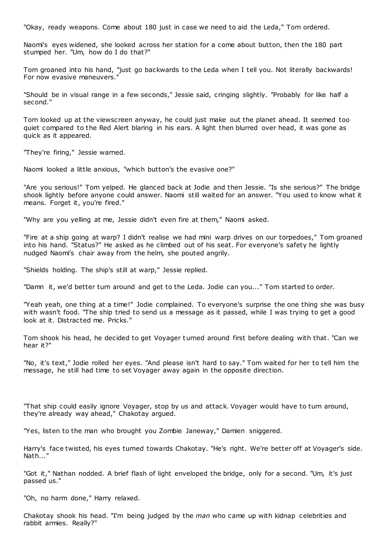"Okay, ready weapons. Come about 180 just in case we need to aid the Leda," Tom ordered.

Naomi's eyes widened, she looked across her station for a come about button, then the 180 part stumped her. "Um, how do I do that?"

Tom groaned into his hand, "just go backwards to the Leda when I tell you. Not literally backwards! For now evasive maneuvers.

"Should be in visual range in a few seconds," Jessie said, cringing slightly. "Probably for like half a second."

Tom looked up at the viewscreen anyway, he could just make out the planet ahead. It seemed too quiet compared to the Red Alert blaring in his ears. A light then blurred over head, it was gone as quick as it appeared.

"They're firing," Jessie warned.

Naomi looked a little anxious, "which button's the evasive one?"

"Are you serious!" Tom yelped. He glanced back at Jodie and then Jessie. "Is she serious?" The bridge shook lightly before anyone could answer. Naomi still waited for an answer. "You used to know what it means. Forget it, you're fired."

"Why are you yelling at me, Jessie didn't even fire at them," Naomi asked.

"Fire at a ship going at warp? I didn't realise we had mini warp drives on our torpedoes," Tom groaned into his hand. "Status?" He asked as he climbed out of his seat. For everyone's safety he lightly nudged Naomi's chair away from the helm, she pouted angrily.

"Shields holding. The ship's still at warp," Jessie replied.

"Damn it, we'd better turn around and get to the Leda. Jodie can you..." Tom started to order.

"Yeah yeah, one thing at a time!" Jodie complained. To everyone's surprise the one thing she was busy with wasn't food. "The ship tried to send us a message as it passed, while I was trying to get a good look at it. Distracted me. Pricks."

Tom shook his head, he decided to get Voyager turned around first before dealing with that. "Can we hear it?"

"No, it's text," Jodie rolled her eyes. "And please isn't hard to say." Tom waited for her to tell him the message, he still had time to set Voyager away again in the opposite direction.

"That ship could easily ignore Voyager, stop by us and attack. Voyager would have to turn around, they're already way ahead," Chakotay argued.

"Yes, listen to the man who brought you Zombie Janeway," Damien sniggered.

Harry's face twisted, his eyes turned towards Chakotay. "He's right. We're better off at Voyager's side. Nath..."

"Got it," Nathan nodded. A brief flash of light enveloped the bridge, only for a second. "Um, it's just passed us."

"Oh, no harm done," Harry relaxed.

Chakotay shook his head. "I'm being judged by the *man* who came up with kidnap celebrities and rabbit armies. Really?"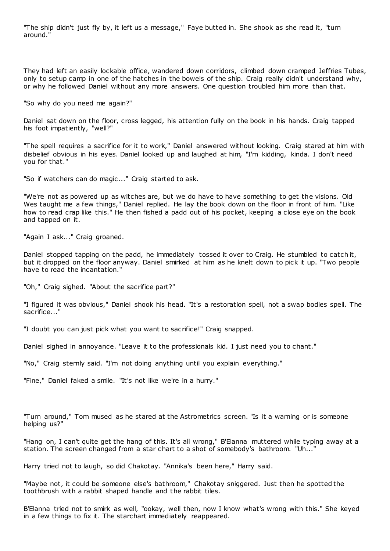"The ship didn't just fly by, it left us a message," Faye butted in. She shook as she read it, "turn around."

They had left an easily lockable office, wandered down corridors, climbed down cramped Jeffries Tubes, only to setup camp in one of the hatches in the bowels of the ship. Craig really didn't understand why, or why he followed Daniel without any more answers. One question troubled him more than that.

"So why do you need me again?"

Daniel sat down on the floor, cross legged, his attention fully on the book in his hands. Craig tapped his foot impatiently, "well?"

"The spell requires a sacrifice for it to work," Daniel answered without looking. Craig stared at him with disbelief obvious in his eyes. Daniel looked up and laughed at him, "I'm kidding, kinda. I don't need you for that."

"So if watchers can do magic..." Craig started to ask.

"We're not as powered up as witches are, but we do have to have something to get the visions. Old Wes taught me a few things," Daniel replied. He lay the book down on the floor in front of him. "Like how to read crap like this." He then fished a padd out of his pocket, keeping a close eye on the book and tapped on it.

"Again I ask..." Craig groaned.

Daniel stopped tapping on the padd, he immediately tossed it over to Craig. He stumbled to catch it, but it dropped on the floor anyway. Daniel smirked at him as he knelt down to pick it up. "Two people have to read the incantation."

"Oh," Craig sighed. "About the sacrifice part?"

"I figured it was obvious," Daniel shook his head. "It's a restoration spell, not a swap bodies spell. The sacrifice..."

"I doubt you can just pick what you want to sacrifice!" Craig snapped.

Daniel sighed in annoyance. "Leave it to the professionals kid. I just need you to chant."

"No," Craig sternly said. "I'm not doing anything until you explain everything."

"Fine," Daniel faked a smile. "It's not like we're in a hurry."

"Turn around," Tom mused as he stared at the Astrometrics screen. "Is it a warning or is someone helping us?"

"Hang on, I can't quite get the hang of this. It's all wrong," B'Elanna muttered while typing away at a station. The screen changed from a star chart to a shot of somebody's bathroom. "Uh..."

Harry tried not to laugh, so did Chakotay. "Annika's been here," Harry said.

"Maybe not, it could be someone else's bathroom," Chakotay sniggered. Just then he spotted the toothbrush with a rabbit shaped handle and the rabbit tiles.

B'Elanna tried not to smirk as well, "ookay, well then, now I know what's wrong with this." She keyed in a few things to fix it. The starchart immediately reappeared.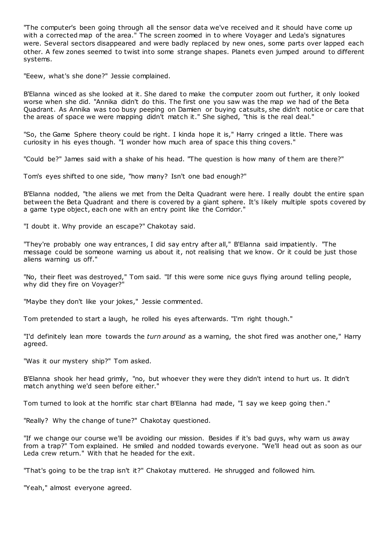"The computer's been going through all the sensor data we've received and it should have come up with a corrected map of the area." The screen zoomed in to where Voyager and Leda's signatures were. Several sectors disappeared and were badly replaced by new ones, some parts over lapped each other. A few zones seemed to twist into some strange shapes. Planets even jumped around to different systems.

"Eeew, what's she done?" Jessie complained.

B'Elanna winced as she looked at it. She dared to make the computer zoom out further, it only looked worse when she did. "Annika didn't do this. The first one you saw was the map we had of the Beta Quadrant. As Annika was too busy peeping on Damien or buying catsuits, she didn't notice or care that the areas of space we were mapping didn't match it." She sighed, "this is the real deal."

"So, the Game Sphere theory could be right. I kinda hope it is," Harry cringed a little. There was curiosity in his eyes though. "I wonder how much area of space this thing covers."

"Could be?" James said with a shake of his head. "The question is how many of t hem are there?"

Tom's eyes shifted to one side, "how many? Isn't one bad enough?"

B'Elanna nodded, "the aliens we met from the Delta Quadrant were here. I really doubt the entire span between the Beta Quadrant and there is covered by a giant sphere. It's likely multiple spots covered by a game type object, each one with an entry point like the Corridor."

"I doubt it. Why provide an escape?" Chakotay said.

"They're probably one way entrances, I did say entry after all," B'Elanna said impatiently. "The message could be someone warning us about it, not realising that we know. Or it could be just those aliens warning us off."

"No, their fleet was destroyed," Tom said. "If this were some nice guys flying around telling people, why did they fire on Voyager?"

"Maybe they don't like your jokes," Jessie commented.

Tom pretended to start a laugh, he rolled his eyes afterwards. "I'm right though."

"I'd definitely lean more towards the *turn around* as a warning, the shot fired was another one," Harry agreed.

"Was it our mystery ship?" Tom asked.

B'Elanna shook her head grimly, "no, but whoever they were they didn't intend to hurt us. It didn't match anything we'd seen before either."

Tom turned to look at the horrific star chart B'Elanna had made, "I say we keep going then."

"Really? Why the change of tune?" Chakotay questioned.

"If we change our course we'll be avoiding our mission. Besides if it's bad guys, why warn us away from a trap?" Tom explained. He smiled and nodded towards everyone. "We'll head out as soon as our Leda crew return." With that he headed for the exit.

"That's going to be the trap isn't it?" Chakotay muttered. He shrugged and followed him.

"Yeah," almost everyone agreed.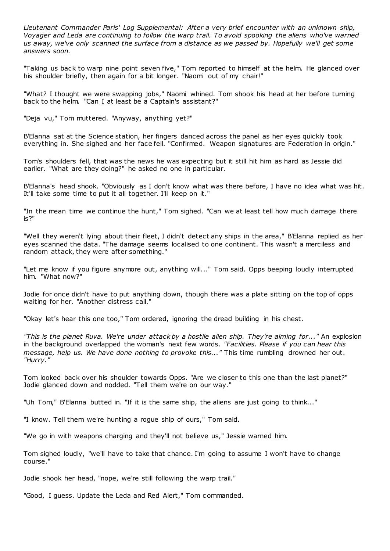*Lieutenant Commander Paris' Log Supplemental: After a very brief encounter with an unknown ship, Voyager and Leda are continuing to follow the warp trail. To avoid spooking the aliens who've warned us away, we've only scanned the surface from a distance as we passed by. Hopefully we'll get some answers soon.*

"Taking us back to warp nine point seven five," Tom reported to himself at the helm. He glanced over his shoulder briefly, then again for a bit longer. "Naomi out of my chair!"

"What? I thought we were swapping jobs," Naomi whined. Tom shook his head at her before turning back to the helm. "Can I at least be a Captain's assistant?"

"Deja vu," Tom muttered. "Anyway, anything yet?"

B'Elanna sat at the Science station, her fingers danced across the panel as her eyes quickly took everything in. She sighed and her face fell. "Confirmed. Weapon signatures are Federation in origin."

Tom's shoulders fell, that was the news he was expecting but it still hit him as hard as Jessie did earlier. "What are they doing?" he asked no one in particular.

B'Elanna's head shook. "Obviously as I don't know what was there before, I have no idea what was hit. It'll take some time to put it all together. I'll keep on it."

"In the mean time we continue the hunt," Tom sighed. "Can we at least tell how much damage there is?"

"Well they weren't lying about their fleet, I didn't detect any ships in the area," B'Elanna replied as her eyes scanned the data. "The damage seems localised to one continent. This wasn't a merciless and random attack, they were after something."

"Let me know if you figure anymore out, anything will..." Tom said. Opps beeping loudly interrupted him. "What now?"

Jodie for once didn't have to put anything down, though there was a plate sitting on the top of opps waiting for her. "Another distress call."

"Okay let's hear this one too," Tom ordered, ignoring the dread building in his chest.

*"This is the planet Ruva. We're under attack by a hostile alien ship. They're aiming for..."* An explosion in the background overlapped the woman's next few words. *"Facilities. Please if you can hear this message, help us. We have done nothing to provoke this..."* This time rumbling drowned her out. *"Hurry."*

Tom looked back over his shoulder towards Opps. "Are we closer to this one than the last planet?" Jodie glanced down and nodded. "Tell them we're on our way."

"Uh Tom," B'Elanna butted in. "If it is the same ship, the aliens are just going to think..."

"I know. Tell them we're hunting a rogue ship of ours," Tom said.

"We go in with weapons charging and they'll not believe us," Jessie warned him.

Tom sighed loudly, "we'll have to take that chance. I'm going to assume I won't have to change course."

Jodie shook her head, "nope, we're still following the warp trail."

"Good, I guess. Update the Leda and Red Alert," Tom c ommanded.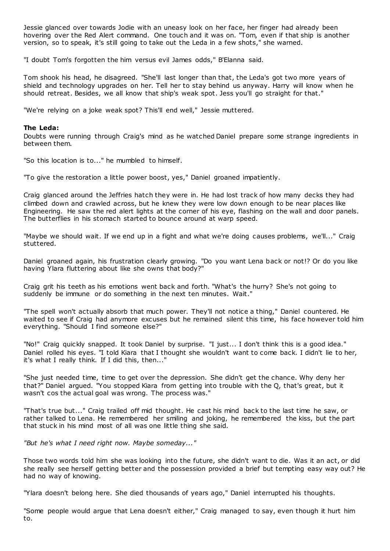Jessie glanced over towards Jodie with an uneasy look on her face, her finger had already been hovering over the Red Alert command. One touch and it was on. "Tom, even if that ship is another version, so to speak, it's still going to take out the Leda in a few shots," she warned.

"I doubt Tom's forgotten the him versus evil James odds," B'Elanna said.

Tom shook his head, he disagreed. "She'll last longer than that, the Leda's got two more years of shield and technology upgrades on her. Tell her to stay behind us anyway. Harry will know when he should retreat. Besides, we all know that ship's weak spot. Jess you'll go straight for that."

"We're relying on a joke weak spot? This'll end well," Jessie muttered.

## **The Leda:**

Doubts were running through Craig's mind as he watched Daniel prepare some strange ingredients in between them.

"So this location is to..." he mumbled to himself.

"To give the restoration a little power boost, yes," Daniel groaned impatiently.

Craig glanced around the Jeffries hatch they were in. He had lost track of how many decks they had climbed down and crawled across, but he knew they were low down enough to be near places like Engineering. He saw the red alert lights at the corner of his eye, flashing on the wall and door panels. The butterflies in his stomach started to bounce around at warp speed.

"Maybe we should wait. If we end up in a fight and what we're doing causes problems, we'll..." Craig stuttered.

Daniel groaned again, his frustration clearly growing. "Do you want Lena back or not!? Or do you like having Ylara fluttering about like she owns that body?"

Craig grit his teeth as his emotions went back and forth. "What's the hurry? She's not going to suddenly be immune or do something in the next ten minutes. Wait."

"The spell won't actually absorb that much power. They'll not notice a thing," Daniel countered. He waited to see if Craig had anymore excuses but he remained silent this time, his face however told him everything. "Should I find someone else?"

"No!" Craig quickly snapped. It took Daniel by surprise. "I just... I don't think this is a good idea." Daniel rolled his eyes. "I told Kiara that I thought she wouldn't want to come back. I didn't lie to her, it's what I really think. If I did this, then..."

"She just needed time, time to get over the depression. She didn't get the chance. Why deny her that?" Daniel argued. "You stopped Kiara from getting into trouble with the Q, that's great, but it wasn't cos the actual goal was wrong. The process was."

"That's true but..." Craig trailed off mid thought. He cast his mind back to the last time he saw, or rather talked to Lena. He remembered her smiling and joking, he remembered the kiss, but the part that stuck in his mind most of all was one little thing she said.

*"But he's what I need right now. Maybe someday..."*

Those two words told him she was looking into the future, she didn't want to die. Was it an act, or did she really see herself getting better and the possession provided a brief but tempting easy way out? He had no way of knowing.

"Ylara doesn't belong here. She died thousands of years ago," Daniel interrupted his thoughts.

"Some people would argue that Lena doesn't either," Craig managed to say, even though it hurt him to.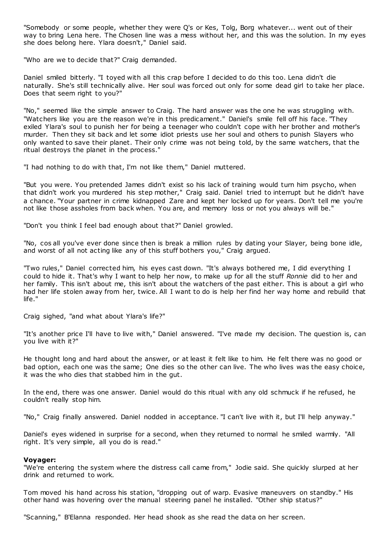"Somebody or some people, whether they were Q's or Kes, Tolg, Borg whatever... went out of their way to bring Lena here. The Chosen line was a mess without her, and this was the solution. In my eyes she does belong here. Ylara doesn't," Daniel said.

"Who are we to decide that?" Craig demanded.

Daniel smiled bitterly. "I toyed with all this crap before I decided to do this too. Lena didn't die naturally. She's still technically alive. Her soul was forced out only for some dead girl to take her place. Does that seem right to you?"

"No," seemed like the simple answer to Craig. The hard answer was the one he was struggling with. "Watchers like you are the reason we're in this predicament." Daniel's smile fell off his face. "They exiled Ylara's soul to punish her for being a teenager who couldn't cope with her brother and mother's murder. Then they sit back and let some idiot priests use her soul and others to punish Slayers who only wanted to save their planet. Their only crime was not being told, by the same watchers, that the ritual destroys the planet in the process."

"I had nothing to do with that, I'm not like them," Daniel muttered.

"But you were. You pretended James didn't exist so his lack of training would turn him psycho, when that didn't work you murdered his step mother," Craig said. Daniel tried to interrupt but he didn't have a chance. "Your partner in crime kidnapped Zare and kept her locked up for years. Don't tell me you're not like those assholes from back when. You are, and memory loss or not you always will be."

"Don't you think I feel bad enough about that?" Daniel growled.

"No, cos all you've ever done since then is break a million rules by dating your Slayer, being bone idle, and worst of all not acting like any of this stuff bothers you," Craig argued.

"Two rules," Daniel corrected him, his eyes cast down. "It's always bothered me, I did everything I could to hide it. That's why I want to help her now, to make up for all the stuff *Ronnie* did to her and her family. This isn't about me, this isn't about the watchers of the past either. This is about a girl who had her life stolen away from her, twice. All I want to do is help her find her way home and rebuild that life."

Craig sighed, "and what about Ylara's life?"

"It's another price I'll have to live with," Daniel answered. "I've made my decision. The question is, can you live with it?"

He thought long and hard about the answer, or at least it felt like to him. He felt there was no good or bad option, each one was the same; One dies so the other can live. The who lives was the easy choice, it was the who dies that stabbed him in the gut.

In the end, there was one answer. Daniel would do this ritual with any old schmuck if he refused, he couldn't really stop him.

"No," Craig finally answered. Daniel nodded in acceptance. "I can't live with it, but I'll help anyway."

Daniel's eyes widened in surprise for a second, when they returned to normal he smiled warmly. "All right. It's very simple, all you do is read."

## **Voyager:**

"We're entering the system where the distress call came from," Jodie said. She quickly slurped at her drink and returned to work.

Tom moved his hand across his station, "dropping out of warp. Evasive maneuvers on standby." His other hand was hovering over the manual steering panel he installed. "Other ship status?"

"Scanning," B'Elanna responded. Her head shook as she read the data on her screen.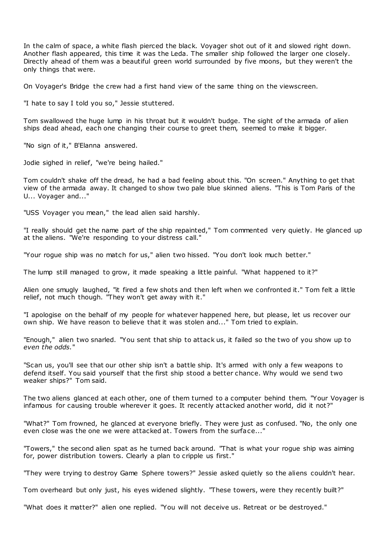In the calm of space, a white flash pierced the black. Voyager shot out of it and slowed right down. Another flash appeared, this time it was the Leda. The smaller ship followed the larger one closely. Directly ahead of them was a beautiful green world surrounded by five moons, but they weren't the only things that were.

On Voyager's Bridge the crew had a first hand view of the same thing on the viewscreen.

"I hate to say I told you so," Jessie stuttered.

Tom swallowed the huge lump in his throat but it wouldn't budge. The sight of the armada of alien ships dead ahead, each one changing their course to greet them, seemed to make it bigger.

"No sign of it," B'Elanna answered.

Jodie sighed in relief, "we're being hailed."

Tom couldn't shake off the dread, he had a bad feeling about this. "On screen." Anything to get that view of the armada away. It changed to show two pale blue skinned aliens. "This is Tom Paris of the U... Voyager and..."

"USS Voyager you mean," the lead alien said harshly.

"I really should get the name part of the ship repainted," Tom commented very quietly. He glanced up at the aliens. "We're responding to your distress call."

"Your rogue ship was no match for us," alien two hissed. "You don't look much better."

The lump still managed to grow, it made speaking a little painful. "What happened to it?"

Alien one smugly laughed, "it fired a few shots and then left when we confronted it." Tom felt a little relief, not much though. "They won't get away with it."

"I apologise on the behalf of my people for whatever happened here, but please, let us recover our own ship. We have reason to believe that it was stolen and..." Tom tried to explain.

"Enough," alien two snarled. "You sent that ship to attack us, it failed so the two of you show up to *even the odds.*"

"Scan us, you'll see that our other ship isn't a battle ship. It's armed with only a few weapons to defend itself. You said yourself that the first ship stood a better chance. Why would we send two weaker ships?" Tom said.

The two aliens glanced at each other, one of them turned to a computer behind them. "Your Voyager is infamous for causing trouble wherever it goes. It recently attacked another world, did it not?"

"What?" Tom frowned, he glanced at everyone briefly. They were just as confused. "No, the only one even close was the one we were attacked at. Towers from the surface..."

"Towers," the second alien spat as he turned back around. "That is what your rogue ship was aiming for, power distribution towers. Clearly a plan to cripple us first."

"They were trying to destroy Game Sphere towers?" Jessie asked quietly so the aliens couldn't hear.

Tom overheard but only just, his eyes widened slightly. "These towers, were they recently built?"

"What does it matter?" alien one replied. "You will not deceive us. Retreat or be destroyed."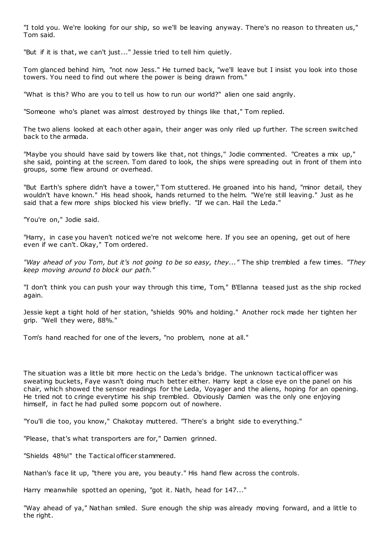"I told you. We're looking for our ship, so we'll be leaving anyway. There's no reason to threaten us," Tom said.

"But if it is that, we can't just..." Jessie tried to tell him quietly.

Tom glanced behind him, "not now Jess." He turned back, "we'll leave but I insist you look into those towers. You need to find out where the power is being drawn from."

"What is this? Who are you to tell us how to run our world?" alien one said angrily.

"Someone who's planet was almost destroyed by things like that," Tom replied.

The two aliens looked at each other again, their anger was only riled up further. The screen switched back to the armada.

"Maybe you should have said by towers like that, not things," Jodie commented. "Creates a mix up," she said, pointing at the screen. Tom dared to look, the ships were spreading out in front of them into groups, some flew around or overhead.

"But Earth's sphere didn't have a tower," Tom stuttered. He groaned into his hand, "minor detail, they wouldn't have known." His head shook, hands returned to the helm. "We're still leaving." Just as he said that a few more ships blocked his view briefly. "If we can. Hail the Leda."

"You're on," Jodie said.

"Harry, in case you haven't noticed we're not welcome here. If you see an opening, get out of here even if we can't. Okay," Tom ordered.

*"Way ahead of you Tom, but it's not going to be so easy, they..."* The ship trembled a few times. *"They keep moving around to block our path."*

"I don't think you can push your way through this time, Tom," B'Elanna teased just as the ship rocked again.

Jessie kept a tight hold of her station, "shields 90% and holding." Another rock made her tighten her grip. "Well they were, 88%."

Tom's hand reached for one of the levers, "no problem, none at all."

The situation was a little bit more hectic on the Leda's bridge. The unknown tactical officer was sweating buckets, Faye wasn't doing much better either. Harry kept a close eye on the panel on his chair, which showed the sensor readings for the Leda, Voyager and the aliens, hoping for an opening. He tried not to cringe everytime his ship trembled. Obviously Damien was the only one enjoying himself, in fact he had pulled some popcorn out of nowhere.

"You'll die too, you know," Chakotay muttered. "There's a bright side to everything."

"Please, that's what transporters are for," Damien grinned.

"Shields 48%!" the Tactical officer stammered.

Nathan's face lit up, "there you are, you beauty." His hand flew across the controls.

Harry meanwhile spotted an opening, "got it. Nath, head for 147..."

"Way ahead of ya," Nathan smiled. Sure enough the ship was already moving forward, and a little to the right.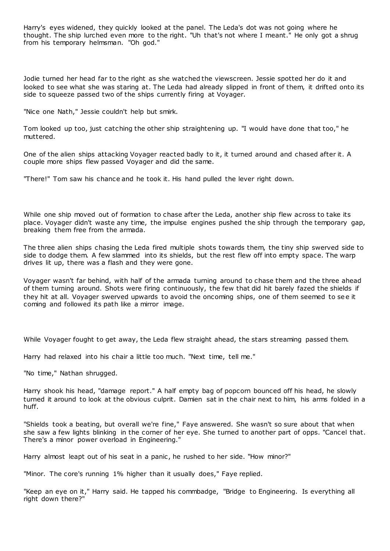Harry's eyes widened, they quickly looked at the panel. The Leda's dot was not going where he thought. The ship lurched even more to the right. "Uh that's not where I meant." He only got a shrug from his temporary helmsman. "Oh god."

Jodie turned her head far to the right as she watched the viewscreen. Jessie spotted her do it and looked to see what she was staring at. The Leda had already slipped in front of them, it drifted onto its side to squeeze passed two of the ships currently firing at Voyager.

"Nice one Nath," Jessie couldn't help but smirk.

Tom looked up too, just catching the other ship straightening up. "I would have done that too," he muttered.

One of the alien ships attacking Voyager reacted badly to it, it turned around and chased after it. A couple more ships flew passed Voyager and did the same.

"There!" Tom saw his chance and he took it. His hand pulled the lever right down.

While one ship moved out of formation to chase after the Leda, another ship flew across to take its place. Voyager didn't waste any time, the impulse engines pushed the ship through the temporary gap, breaking them free from the armada.

The three alien ships chasing the Leda fired multiple shots towards them, the tiny ship swerved side to side to dodge them. A few slammed into its shields, but the rest flew off into empty space. The warp drives lit up, there was a flash and they were gone.

Voyager wasn't far behind, with half of the armada turning around to chase them and the three ahead of them turning around. Shots were firing continuously, the few that did hit barely fazed the shields if they hit at all. Voyager swerved upwards to avoid the oncoming ships, one of them seemed to se e it coming and followed its path like a mirror image.

While Voyager fought to get away, the Leda flew straight ahead, the stars streaming passed them.

Harry had relaxed into his chair a little too much. "Next time, tell me."

"No time," Nathan shrugged.

Harry shook his head, "damage report." A half empty bag of popcorn bounced off his head, he slowly turned it around to look at the obvious culprit. Damien sat in the chair next to him, his arms folded in a huff.

"Shields took a beating, but overall we're fine," Faye answered. She wasn't so sure about that when she saw a few lights blinking in the corner of her eye. She turned to another part of opps. "Cancel that. There's a minor power overload in Engineering."

Harry almost leapt out of his seat in a panic , he rushed to her side. "How minor?"

"Minor. The core's running 1% higher than it usually does," Faye replied.

"Keep an eye on it," Harry said. He tapped his commbadge, "Bridge to Engineering. Is everything all right down there?"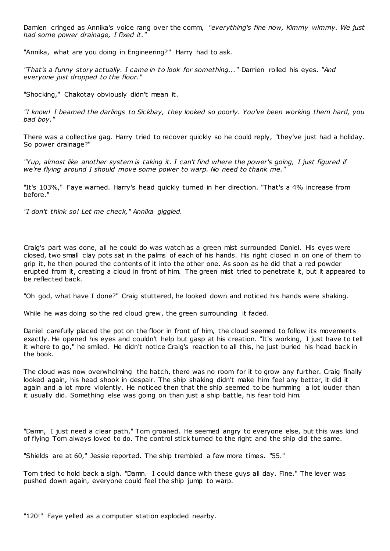Damien cringed as Annika's voice rang over the comm, *"everything's fine now, Kimmy wimmy. We just had some power drainage, I fixed it."*

"Annika, what are you doing in Engineering?" Harry had to ask.

*"That's a funny story actually. I came in to look for something..."* Damien rolled his eyes. *"And everyone just dropped to the floor."*

"Shocking," Chakotay obviously didn't mean it.

*"I know! I beamed the darlings to Sickbay, they looked so poorly. You've been working them hard, you bad boy."*

There was a collective gag. Harry tried to recover quickly so he could reply, "they've just had a holiday. So power drainage?"

*"Yup, almost like another system is taking it. I can't find where the power's going, I just figured if we're flying around I should move some power to warp. No need to thank me."*

"It's 103%," Faye warned. Harry's head quickly turned in her direction. "That's a 4% increase from before."

*"I don't think so! Let me check," Annika giggled.*

Craig's part was done, all he could do was watch as a green mist surrounded Daniel. His eyes were closed, two small clay pots sat in the palms of each of his hands. His right closed in on one of them to grip it, he then poured the contents of it into the other one. As soon as he did that a red powder erupted from it, creating a cloud in front of him. The green mist tried to penetrate it, but it appeared to be reflected back.

"Oh god, what have I done?" Craig stuttered, he looked down and noticed his hands were shaking.

While he was doing so the red cloud grew, the green surrounding it faded.

Daniel carefully placed the pot on the floor in front of him, the cloud seemed to follow its movements exactly. He opened his eyes and couldn't help but gasp at his creation. "It's working, I just have to tell it where to go," he smiled. He didn't notice Craig's reaction to all this, he just buried his head back in the book.

The cloud was now overwhelming the hatch, there was no room for it to grow any further. Craig finally looked again, his head shook in despair. The ship shaking didn't make him feel any better, it did it again and a lot more violently. He noticed then that the ship seemed to be humming a lot louder than it usually did. Something else was going on than just a ship battle, his fear told him.

"Damn, I just need a clear path," Tom groaned. He seemed angry to everyone else, but this was kind of flying Tom always loved to do. The control stick turned to the right and the ship did the same.

"Shields are at 60," Jessie reported. The ship trembled a few more times. "55."

Tom tried to hold back a sigh. "Damn. I could dance with these guys all day. Fine." The lever was pushed down again, everyone could feel the ship jump to warp.

"120!" Faye yelled as a computer station exploded nearby.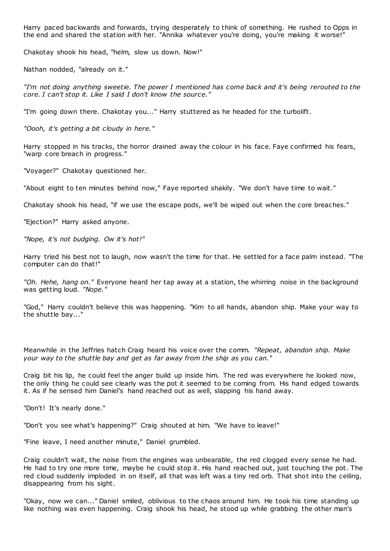Harry paced backwards and forwards, trying desperately to think of something. He rushed to Opps in the end and shared the station with her. "Annika whatever you're doing, you're making it worse!"

Chakotay shook his head, "helm, slow us down. Now!"

Nathan nodded, "already on it."

*"I'm not doing anything sweetie. The power I mentioned has come back and it's being rerouted to the core. I can't stop it. Like I said I don't know the source."*

"I'm going down there. Chakotay you..." Harry stuttered as he headed for the turbolift.

*"Oooh, it's getting a bit cloudy in here."*

Harry stopped in his tracks, the horror drained away the colour in his face. Faye confirmed his fears, "warp core breach in progress."

"Voyager?" Chakotay questioned her.

"About eight to ten minutes behind now," Faye reported shakily. "We don't have time to wait."

Chakotay shook his head, "if we use the escape pods, we'll be wiped out when the core breaches."

"Ejection?" Harry asked anyone.

*"Nope, it's not budging. Ow it's hot!"*

Harry tried his best not to laugh, now wasn't the time for that. He settled for a face palm instead. "The computer can do that!"

*"Oh. Hehe, hang on."* Everyone heard her tap away at a station, the whirring noise in the background was getting loud. *"Nope."*

"God," Harry couldn't believe this was happening. "Kim to all hands, abandon ship. Make your way to the shuttle bay..."

Meanwhile in the Jeffries hatch Craig heard his voice over the comm. *"Repeat, abandon ship. Make your way to the shuttle bay and get as far away from the ship as you can."*

Craig bit his lip, he could feel the anger build up inside him. The red was everywhere he looked now, the only thing he could see clearly was the pot it seemed to be coming from. His hand edged towards it. As if he sensed him Daniel's hand reached out as well, slapping his hand away.

"Don't! It's nearly done."

"Don't you see what's happening?" Craig shouted at him. "We have to leave!"

"Fine leave, I need another minute," Daniel grumbled.

Craig couldn't wait, the noise from the engines was unbearable, the red clogged every sense he had. He had to try one more time, maybe he could stop it. His hand reached out, just touching the pot. The red cloud suddenly imploded in on itself, all that was left was a tiny red orb. That shot into the ceiling, disappearing from his sight.

"Okay, now we can..." Daniel smiled, oblivious to the chaos around him. He took his time standing up like nothing was even happening. Craig shook his head, he stood up while grabbing the other man's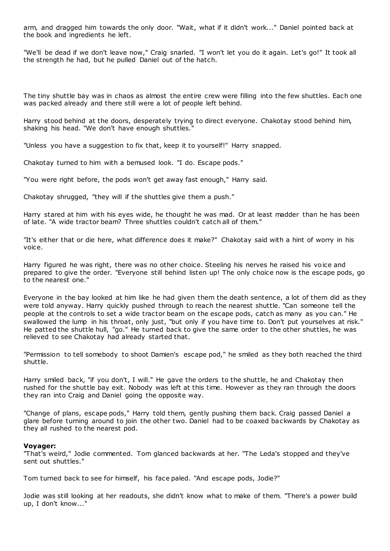arm, and dragged him towards the only door. "Wait, what if it didn't work..." Daniel pointed back at the book and ingredients he left.

"We'll be dead if we don't leave now," Craig snarled. "I won't let you do it again. Let's go!" It took all the strength he had, but he pulled Daniel out of the hatch.

The tiny shuttle bay was in chaos as almost the entire crew were filling into the few shuttles. Each one was packed already and there still were a lot of people left behind.

Harry stood behind at the doors, desperately trying to direct everyone. Chakotay stood behind him, shaking his head. "We don't have enough shuttles."

"Unless you have a suggestion to fix that, keep it to yourself!" Harry snapped.

Chakotay turned to him with a bemused look. "I do. Escape pods."

"You were right before, the pods won't get away fast enough," Harry said.

Chakotay shrugged, "they will if the shuttles give them a push."

Harry stared at him with his eyes wide, he thought he was mad. Or at least madder than he has been of late. "A wide tractor beam? Three shuttles couldn't catch all of them."

"It's either that or die here, what difference does it make?" Chakotay said with a hint of worry in his voice.

Harry figured he was right, there was no other choice. Steeling his nerves he raised his voice and prepared to give the order. "Everyone still behind listen up! The only choice now is the escape pods, go to the nearest one."

Everyone in the bay looked at him like he had given them the death sentence, a lot of them did as they were told anyway. Harry quickly pushed through to reach the nearest shuttle. "Can someone tell the people at the controls to set a wide tractor beam on the escape pods, catch as many as you can." He swallowed the lump in his throat, only just, "but only if you have time to. Don't put yourselves at risk." He patted the shuttle hull, "go." He turned back to give the same order to the other shuttles, he was relieved to see Chakotay had already started that.

"Permission to tell somebody to shoot Damien's escape pod," he smiled as they both reached the third shuttle.

Harry smiled back, "if you don't, I will." He gave the orders to the shuttle, he and Chakotay then rushed for the shuttle bay exit. Nobody was left at this time. However as they ran through the doors they ran into Craig and Daniel going the opposite way.

"Change of plans, escape pods," Harry told them, gently pushing them back. Craig passed Daniel a glare before turning around to join the other two. Daniel had to be coaxed backwards by Chakotay as they all rushed to the nearest pod.

#### **Voyager:**

"That's weird," Jodie commented. Tom glanced backwards at her. "The Leda's stopped and they've sent out shuttles."

Tom turned back to see for himself, his face paled. "And escape pods, Jodie?"

Jodie was still looking at her readouts, she didn't know what to make of them. "There's a power build up, I don't know..."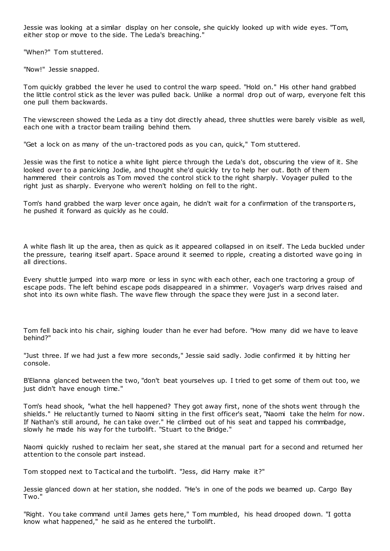Jessie was looking at a similar display on her console, she quickly looked up with wide eyes. "Tom, either stop or move to the side. The Leda's breaching."

"When?" Tom stuttered.

"Now!" Jessie snapped.

Tom quickly grabbed the lever he used to control the warp speed. "Hold on." His other hand grabbed the little control stick as the lever was pulled back. Unlike a normal drop out of warp, everyone felt this one pull them backwards.

The viewscreen showed the Leda as a tiny dot directly ahead, three shuttles were barely visible as well, each one with a tractor beam trailing behind them.

"Get a lock on as many of the un-tractored pods as you can, quick," Tom stuttered.

Jessie was the first to notice a white light pierce through the Leda's dot, obscuring the view of it. She looked over to a panicking Jodie, and thought she'd quickly try to help her out. Both of them hammered their controls as Tom moved the control stick to the right sharply. Voyager pulled to the right just as sharply. Everyone who weren't holding on fell to the right.

Tom's hand grabbed the warp lever once again, he didn't wait for a confirmation of the transporters, he pushed it forward as quickly as he could.

A white flash lit up the area, then as quick as it appeared collapsed in on itself. The Leda buckled under the pressure, tearing itself apart. Space around it seemed to ripple, creating a distorted wave going in all directions.

Every shuttle jumped into warp more or less in sync with each other, each one tractoring a group of escape pods. The left behind escape pods disappeared in a shimmer. Voyager's warp drives raised and shot into its own white flash. The wave flew through the space they were just in a second later.

Tom fell back into his chair, sighing louder than he ever had before. "How many did we have to leave behind?"

"Just three. If we had just a few more seconds," Jessie said sadly. Jodie confirmed it by hitting her console.

B'Elanna glanced between the two, "don't beat yourselves up. I tried to get some of them out too, we just didn't have enough time."

Tom's head shook, "what the hell happened? They got away first, none of the shots went through the shields." He reluctantly turned to Naomi sitting in the first officer's seat, "Naomi take the helm for now. If Nathan's still around, he can take over." He climbed out of his seat and tapped his commbadge, slowly he made his way for the turbolift. "Stuart to the Bridge."

Naomi quickly rushed to reclaim her seat, she stared at the manual part for a second and returned her attention to the console part instead.

Tom stopped next to Tactical and the turbolift. "Jess, did Harry make it?"

Jessie glanced down at her station, she nodded. "He's in one of the pods we beamed up. Cargo Bay Two."

"Right. You take command until James gets here," Tom mumbled, his head drooped down. "I gotta know what happened," he said as he entered the turbolift.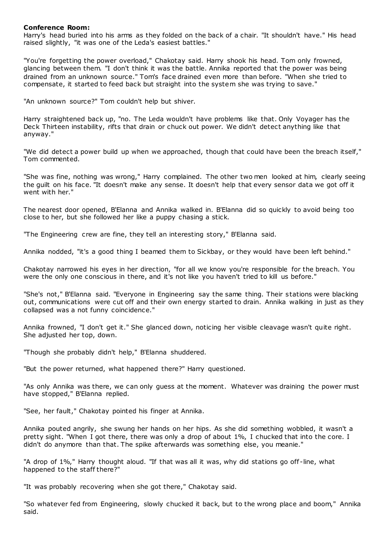## **Conference Room:**

Harry's head buried into his arms as they folded on the back of a chair. "It shouldn't have." His head raised slightly, "it was one of the Leda's easiest battles."

"You're forgetting the power overload," Chakotay said. Harry shook his head. Tom only frowned, glancing between them. "I don't think it was the battle. Annika reported that the power was being drained from an unknown source." Tom's face drained even more than before. "When she tried to compensate, it started to feed back but straight into the system she was trying to save."

"An unknown source?" Tom couldn't help but shiver.

Harry straightened back up, "no. The Leda wouldn't have problems like that. Only Voyager has the Deck Thirteen instability, rifts that drain or chuck out power. We didn't detect anything like that anyway."

"We did detect a power build up when we approached, though that could have been the breach itself," Tom commented.

"She was fine, nothing was wrong," Harry complained. The other two men looked at him, clearly seeing the guilt on his face. "It doesn't make any sense. It doesn't help that every sensor data we got off it went with her."

The nearest door opened, B'Elanna and Annika walked in. B'Elanna did so quickly to avoid being too close to her, but she followed her like a puppy chasing a stick.

"The Engineering crew are fine, they tell an interesting story," B'Elanna said.

Annika nodded, "it's a good thing I beamed them to Sickbay, or they would have been left behind."

Chakotay narrowed his eyes in her direction, "for all we know you're responsible for the breach. You were the only one conscious in there, and it's not like you haven't tried to kill us before."

"She's not," B'Elanna said. "Everyone in Engineering say the same thing. Their stations were blacking out, communications were cut off and their own energy started to drain. Annika walking in just as they collapsed was a not funny coincidence."

Annika frowned, "I don't get it." She glanced down, noticing her visible cleavage wasn't quite right. She adjusted her top, down.

"Though she probably didn't help," B'Elanna shuddered.

"But the power returned, what happened there?" Harry questioned.

"As only Annika was there, we can only guess at the moment. Whatever was draining the power must have stopped," B'Elanna replied.

"See, her fault," Chakotay pointed his finger at Annika.

Annika pouted angrily, she swung her hands on her hips. As she did something wobbled, it wasn't a pretty sight. "When I got there, there was only a drop of about 1%, I chucked that into the core. I didn't do anymore than that. The spike afterwards was something else, you meanie."

"A drop of 1%," Harry thought aloud. "If that was all it was, why did stations go off -line, what happened to the staff there?"

"It was probably recovering when she got there," Chakotay said.

"So whatever fed from Engineering, slowly chucked it back, but to the wrong place and boom," Annika said.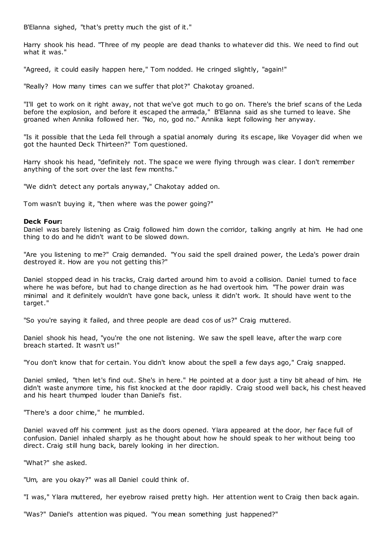B'Elanna sighed, "that's pretty much the gist of it."

Harry shook his head. "Three of my people are dead thanks to whatever did this. We need to find out what it was."

"Agreed, it could easily happen here," Tom nodded. He cringed slightly, "again!"

"Really? How many times can we suffer that plot?" Chakotay groaned.

"I'll get to work on it right away, not that we've got much to go on. There's the brief scans of the Leda before the explosion, and before it escaped the armada," B'Elanna said as she turned to leave. She groaned when Annika followed her. "No, no, god no." Annika kept following her anyway.

"Is it possible that the Leda fell through a spatial anomaly during its escape, like Voyager did when we got the haunted Deck Thirteen?" Tom questioned.

Harry shook his head, "definitely not. The space we were flying through was clear. I don't remember anything of the sort over the last few months."

"We didn't detect any portals anyway," Chakotay added on.

Tom wasn't buying it, "then where was the power going?"

#### **Deck Four:**

Daniel was barely listening as Craig followed him down the corridor, talking angrily at him. He had one thing to do and he didn't want to be slowed down.

"Are you listening to me?" Craig demanded. "You said the spell drained power, the Leda's power drain destroyed it. How are you not getting this?"

Daniel stopped dead in his tracks, Craig darted around him to avoid a collision. Daniel turned to face where he was before, but had to change direction as he had overtook him. "The power drain was minimal and it definitely wouldn't have gone back, unless it didn't work. It should have went to the target."

"So you're saying it failed, and three people are dead cos of us?" Craig muttered.

Daniel shook his head, "you're the one not listening. We saw the spell leave, after the warp core breach started. It wasn't us!"

"You don't know that for certain. You didn't know about the spell a few days ago," Craig snapped.

Daniel smiled, "then let's find out. She's in here." He pointed at a door just a tiny bit ahead of him. He didn't waste anymore time, his fist knocked at the door rapidly. Craig stood well back, his chest heaved and his heart thumped louder than Daniel's fist.

"There's a door chime," he mumbled.

Daniel waved off his comment just as the doors opened. Ylara appeared at the door, her face full of confusion. Daniel inhaled sharply as he thought about how he should speak to her without being too direct. Craig still hung back, barely looking in her direction.

"What?" she asked.

"Um, are you okay?" was all Daniel could think of.

"I was," Ylara muttered, her eyebrow raised pretty high. Her attention went to Craig then back again.

"Was?" Daniel's attention was piqued. "You mean something just happened?"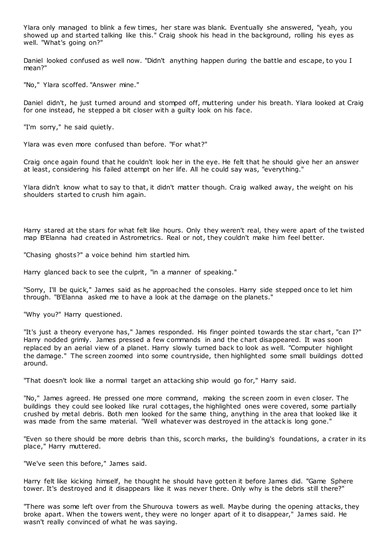Ylara only managed to blink a few times, her stare was blank. Eventually she answered, "yeah, you showed up and started talking like this." Craig shook his head in the background, rolling his eyes as well. "What's going on?"

Daniel looked confused as well now. "Didn't anything happen during the battle and escape, to you I mean?"

"No," Ylara scoffed. "Answer mine."

Daniel didn't, he just turned around and stomped off, muttering under his breath. Ylara looked at Craig for one instead, he stepped a bit closer with a guilty look on his face.

"I'm sorry," he said quietly.

Ylara was even more confused than before. "For what?"

Craig once again found that he couldn't look her in the eye. He felt that he should give her an answer at least, considering his failed attempt on her life. All he could say was, "everything."

Ylara didn't know what to say to that, it didn't matter though. Craig walked away, the weight on his shoulders started to crush him again.

Harry stared at the stars for what felt like hours. Only they weren't real, they were apart of the twisted map B'Elanna had created in Astrometrics. Real or not, they couldn't make him feel better.

"Chasing ghosts?" a voice behind him startled him.

Harry glanced back to see the culprit, "in a manner of speaking."

"Sorry, I'll be quick," James said as he approached the consoles. Harry side stepped once to let him through. "B'Elanna asked me to have a look at the damage on the planets."

"Why you?" Harry questioned.

"It's just a theory everyone has," James responded. His finger pointed towards the star chart, "can I?" Harry nodded grimly. James pressed a few commands in and the chart disappeared. It was soon replaced by an aerial view of a planet. Harry slowly turned back to look as well. "Computer highlight the damage." The screen zoomed into some countryside, then highlighted some small buildings dotted around.

"That doesn't look like a normal target an attacking ship would go for," Harry said.

"No," James agreed. He pressed one more command, making the screen zoom in even closer. The buildings they could see looked like rural cottages, the highlighted ones were covered, some partially crushed by metal debris. Both men looked for the same thing, anything in the area that looked like it was made from the same material. "Well whatever was destroyed in the attack is long gone."

"Even so there should be more debris than this, scorch marks, the building's foundations, a crater in its place," Harry muttered.

"We've seen this before," James said.

Harry felt like kicking himself, he thought he should have gotten it before James did. "Game Sphere tower. It's destroyed and it disappears like it was never there. Only why is the debris still there?"

"There was some left over from the Shurouva towers as well. Maybe during the opening attacks, they broke apart. When the towers went, they were no longer apart of it to disappear," James said. He wasn't really convinced of what he was saying.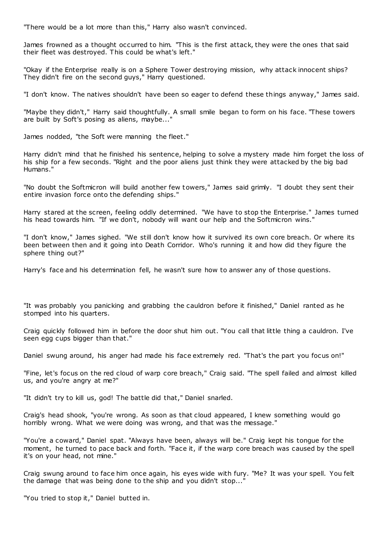"There would be a lot more than this," Harry also wasn't convinced.

James frowned as a thought occurred to him. "This is the first attack, they were the ones that said their fleet was destroyed. This could be what's left."

"Okay if the Enterprise really is on a Sphere Tower destroying mission, why attack innocent ships? They didn't fire on the second guys," Harry questioned.

"I don't know. The natives shouldn't have been so eager to defend these things anyway," James said.

"Maybe they didn't," Harry said thoughtfully. A small smile began to form on his face. "These towers are built by Soft's posing as aliens, maybe..."

James nodded, "the Soft were manning the fleet."

Harry didn't mind that he finished his sentence, helping to solve a mystery made him forget the loss of his ship for a few seconds. "Right and the poor aliens just think they were attacked by the big bad Humans."

"No doubt the Softmicron will build another few towers," James said grimly. "I doubt they sent their entire invasion force onto the defending ships."

Harry stared at the screen, feeling oddly determined. "We have to stop the Enterprise." James turned his head towards him. "If we don't, nobody will want our help and the Softmicron wins."

"I don't know," James sighed. "We still don't know how it survived its own core breach. Or where its been between then and it going into Death Corridor. Who's running it and how did they figure the sphere thing out?"

Harry's face and his determination fell, he wasn't sure how to answer any of those questions.

"It was probably you panicking and grabbing the cauldron before it finished," Daniel ranted as he stomped into his quarters.

Craig quickly followed him in before the door shut him out. "You call that little thing a cauldron. I've seen egg cups bigger than that."

Daniel swung around, his anger had made his face extremely red. "That's the part you focus on!"

"Fine, let's focus on the red cloud of warp core breach," Craig said. "The spell failed and almost killed us, and you're angry at me?"

"It didn't try to kill us, god! The battle did that," Daniel snarled.

Craig's head shook, "you're wrong. As soon as that cloud appeared, I knew something would go horribly wrong. What we were doing was wrong, and that was the message."

"You're a coward," Daniel spat. "Always have been, always will be." Craig kept his tongue for the moment, he turned to pace back and forth. "Face it, if the warp core breach was caused by the spell it's on your head, not mine."

Craig swung around to face him once again, his eyes wide with fury. "Me? It was your spell. You felt the damage that was being done to the ship and you didn't stop...'

"You tried to stop it," Daniel butted in.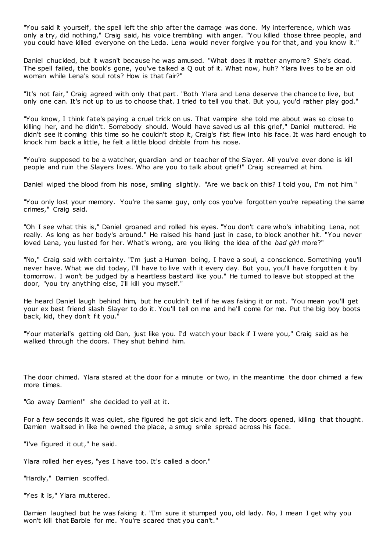"You said it yourself, the spell left the ship after the damage was done. My interference, which was only a try, did nothing," Craig said, his voice trembling with anger. "You killed those three people, and you could have killed everyone on the Leda. Lena would never forgive you for that, and you know it."

Daniel chuckled, but it wasn't because he was amused. "What does it matter anymore? She's dead. The spell failed, the book's gone, you've talked a Q out of it. What now, huh? Ylara lives to be an old woman while Lena's soul rots? How is that fair?"

"It's not fair," Craig agreed with only that part. "Both Ylara and Lena deserve the chance to live, but only one can. It's not up to us to choose that. I tried to tell you that. But you, you'd rather play god."

"You know, I think fate's paying a cruel trick on us. That vampire she told me about was so close to killing her, and he didn't. Somebody should. Would have saved us all this grief," Daniel muttered. He didn't see it coming this time so he couldn't stop it, Craig's fist flew into his face. It was hard enough to knock him back a little, he felt a little blood dribble from his nose.

"You're supposed to be a watcher, guardian and or teacher of the Slayer. All you've ever done is kill people and ruin the Slayers lives. Who are you to talk about grief!" Craig screamed at him.

Daniel wiped the blood from his nose, smiling slightly. "Are we back on this? I told you, I'm not him."

"You only lost your memory. You're the same guy, only cos you've forgotten you're repeating the same crimes," Craig said.

"Oh I see what this is," Daniel groaned and rolled his eyes. "You don't care who's inhabiting Lena, not really. As long as her body's around." He raised his hand just in case, to block another hit. "You never loved Lena, you lusted for her. What's wrong, are you liking the idea of the *bad girl* more?"

"No," Craig said with certainty. "I'm just a Human being, I have a soul, a conscience. Something you'll never have. What we did today, I'll have to live with it every day. But you, you'll have forgotten it by tomorrow. I won't be judged by a heartless bastard like you." He turned to leave but stopped at the door, "you try anything else, I'll kill you myself."

He heard Daniel laugh behind him, but he couldn't tell if he was faking it or not. "You mean you'll get your ex best friend slash Slayer to do it. You'll tell on me and he'll come for me. Put the big boy boots back, kid, they don't fit you."

"Your material's getting old Dan, just like you. I'd watch your back if I were you," Craig said as he walked through the doors. They shut behind him.

The door chimed. Ylara stared at the door for a minute or two, in the meantime the door chimed a few more times.

"Go away Damien!" she decided to yell at it.

For a few seconds it was quiet, she figured he got sick and left. The doors opened, killing that thought. Damien waltsed in like he owned the place, a smug smile spread across his face.

"I've figured it out," he said.

Ylara rolled her eyes, "yes I have too. It's called a door."

"Hardly," Damien scoffed.

"Yes it is," Ylara muttered.

Damien laughed but he was faking it. "I'm sure it stumped you, old lady. No, I mean I get why you won't kill that Barbie for me. You're scared that you can't."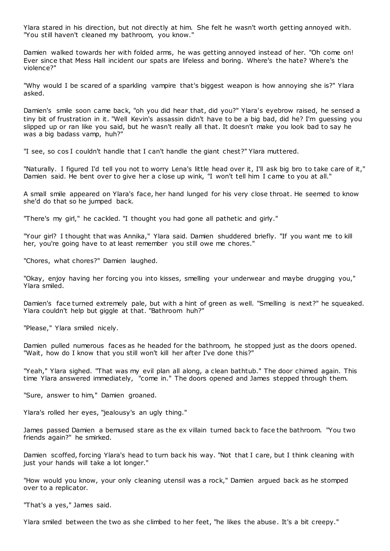Ylara stared in his direction, but not directly at him. She felt he wasn't worth getting annoyed with. "You still haven't cleaned my bathroom, you know."

Damien walked towards her with folded arms, he was getting annoyed instead of her. "Oh come on! Ever since that Mess Hall incident our spats are lifeless and boring. Where's the hate? Where's the violence?"

"Why would I be scared of a sparkling vampire that's biggest weapon is how annoying she is?" Ylara asked.

Damien's smile soon came back, "oh you did hear that, did you?" Ylara's eyebrow raised, he sensed a tiny bit of frustration in it. "Well Kevin's assassin didn't have to be a big bad, did he? I'm guessing you slipped up or ran like you said, but he wasn't really all that. It doesn't make you look bad to say he was a big badass vamp, huh?"

"I see, so cos I couldn't handle that I can't handle the giant chest?" Ylara muttered.

"Naturally. I figured I'd tell you not to worry Lena's little head over it, I'll ask big bro to take care of it," Damien said. He bent over to give her a close up wink, "I won't tell him I came to you at all."

A small smile appeared on Ylara's face, her hand lunged for his very close throat. He seemed to know she'd do that so he jumped back.

"There's my girl," he cackled. "I thought you had gone all pathetic and girly."

"Your girl? I thought that was Annika," Ylara said. Damien shuddered briefly. "If you want me to kill her, you're going have to at least remember you still owe me chores."

"Chores, what chores?" Damien laughed.

"Okay, enjoy having her forcing you into kisses, smelling your underwear and maybe drugging you," Ylara smiled.

Damien's face turned extremely pale, but with a hint of green as well. "Smelling is next?" he squeaked. Ylara couldn't help but giggle at that. "Bathroom huh?"

"Please," Ylara smiled nicely.

Damien pulled numerous faces as he headed for the bathroom, he stopped just as the doors opened. "Wait, how do I know that you still won't kill her after I've done this?"

"Yeah," Ylara sighed. "That was my evil plan all along, a clean bathtub." The door chimed again. This time Ylara answered immediately, "come in." The doors opened and James stepped through them.

"Sure, answer to him," Damien groaned.

Ylara's rolled her eyes, "jealousy's an ugly thing."

James passed Damien a bemused stare as the ex villain turned back to face the bathroom. "You two friends again?" he smirked.

Damien scoffed, forcing Ylara's head to turn back his way. "Not that I care, but I think cleaning with just your hands will take a lot longer."

"How would you know, your only cleaning utensil was a rock," Damien argued back as he stomped over to a replicator.

"That's a yes," James said.

Ylara smiled between the two as she climbed to her feet, "he likes the abuse. It's a bit creepy."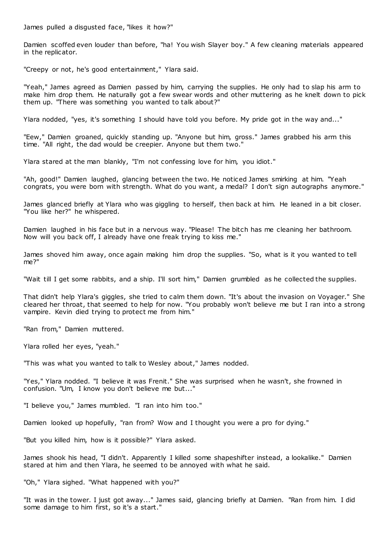James pulled a disgusted face, "likes it how?"

Damien scoffed even louder than before, "ha! You wish Slayer boy." A few cleaning materials appeared in the replicator.

"Creepy or not, he's good entertainment," Ylara said.

"Yeah," James agreed as Damien passed by him, carrying the supplies. He only had to slap his arm to make him drop them. He naturally got a few swear words and other muttering as he knelt down to pick them up. "There was something you wanted to talk about?"

Ylara nodded, "yes, it's something I should have told you before. My pride got in the way and..."

"Eew," Damien groaned, quickly standing up. "Anyone but him, gross." James grabbed his arm this time. "All right, the dad would be creepier. Anyone but them two."

Ylara stared at the man blankly, "I'm not confessing love for him, you idiot."

"Ah, good!" Damien laughed, glancing between the two. He noticed James smirking at him. "Yeah congrats, you were born with strength. What do you want, a medal? I don't sign autographs anymore."

James glanced briefly at Ylara who was giggling to herself, then back at him. He leaned in a bit closer. "You like her?" he whispered.

Damien laughed in his face but in a nervous way. "Please! The bitch has me cleaning her bathroom. Now will you back off, I already have one freak trying to kiss me."

James shoved him away, once again making him drop the supplies. "So, what is it you wanted to tell me?"

"Wait till I get some rabbits, and a ship. I'll sort him," Damien grumbled as he collected the supplies.

That didn't help Ylara's giggles, she tried to calm them down. "It's about the invasion on Voyager." She cleared her throat, that seemed to help for now. "You probably won't believe me but I ran into a strong vampire. Kevin died trying to protect me from him."

"Ran from," Damien muttered.

Ylara rolled her eyes, "yeah."

"This was what you wanted to talk to Wesley about," James nodded.

"Yes," Ylara nodded. "I believe it was Frenit." She was surprised when he wasn't, she frowned in confusion. "Um, I know you don't believe me but..."

"I believe you," James mumbled. "I ran into him too."

Damien looked up hopefully, "ran from? Wow and I thought you were a pro for dying."

"But you killed him, how is it possible?" Ylara asked.

James shook his head, "I didn't. Apparently I killed some shapeshifter instead, a lookalike." Damien stared at him and then Ylara, he seemed to be annoyed with what he said.

"Oh," Ylara sighed. "What happened with you?"

"It was in the tower. I just got away..." James said, glancing briefly at Damien. "Ran from him. I did some damage to him first, so it's a start."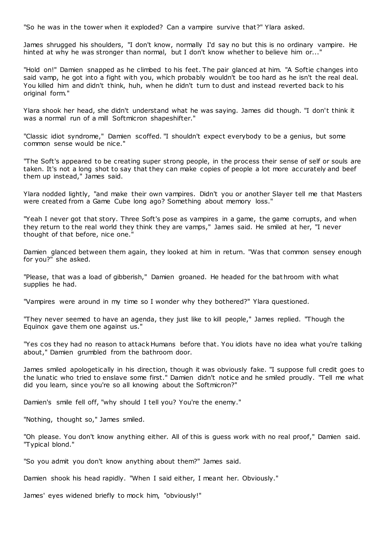"So he was in the tower when it exploded? Can a vampire survive that?" Ylara asked.

James shrugged his shoulders, "I don't know, normally I'd say no but this is no ordinary vampire. He hinted at why he was stronger than normal, but I don't know whether to believe him or..."

"Hold on!" Damien snapped as he climbed to his feet. The pair glanced at him. "A Softie changes into said vamp, he got into a fight with you, which probably wouldn't be too hard as he isn't the real deal. You killed him and didn't think, huh, when he didn't turn to dust and instead reverted back to his original form."

Ylara shook her head, she didn't understand what he was saying. James did though. "I don't think it was a normal run of a mill Softmicron shapeshifter."

"Classic idiot syndrome," Damien scoffed. "I shouldn't expect everybody to be a genius, but some common sense would be nice."

"The Soft's appeared to be creating super strong people, in the process their sense of self or souls are taken. It's not a long shot to say that they can make copies of people a lot more accurately and beef them up instead," James said.

Ylara nodded lightly, "and make their own vampires. Didn't you or another Slayer tell me that Masters were created from a Game Cube long ago? Something about memory loss."

"Yeah I never got that story. Three Soft's pose as vampires in a game, the game corrupts, and when they return to the real world they think they are vamps," James said. He smiled at her, "I never thought of that before, nice one."

Damien glanced between them again, they looked at him in return. "Was that common sensey enough for you?" she asked.

"Please, that was a load of gibberish," Damien groaned. He headed for the bat hroom with what supplies he had.

"Vampires were around in my time so I wonder why they bothered?" Ylara questioned.

"They never seemed to have an agenda, they just like to kill people," James replied. "Though the Equinox gave them one against us."

"Yes cos they had no reason to attack Humans before that. You idiots have no idea what you're talking about," Damien grumbled from the bathroom door.

James smiled apologetically in his direction, though it was obviously fake. "I suppose full credit goes to the lunatic who tried to enslave some first." Damien didn't notice and he smiled proudly. "Tell me what did you learn, since you're so all knowing about the Softmicron?"

Damien's smile fell off, "why should I tell you? You're the enemy."

"Nothing, thought so," James smiled.

"Oh please. You don't know anything either. All of this is guess work with no real proof," Damien said. "Typical blond."

"So you admit you don't know anything about them?" James said.

Damien shook his head rapidly. "When I said either, I meant her. Obviously."

James' eyes widened briefly to mock him, "obviously!"